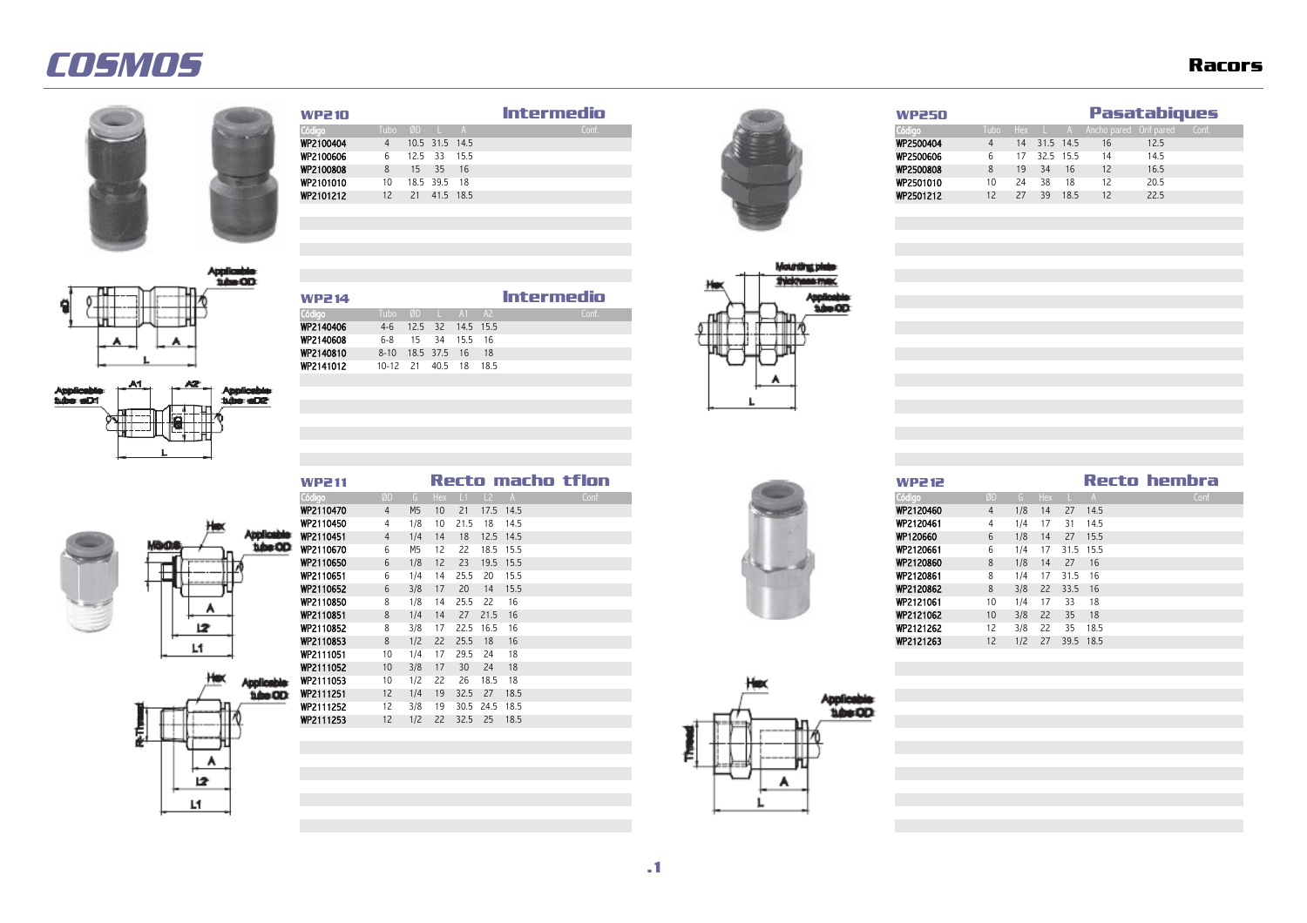Applicable<br>Subs: aID1



 $3400$ 

Applicable<br>Whe aD2

**Applicable** tibe OD

# Código Tubo ØD L A Conf. Código Tubo Hex L A Ancho pared Orif pared Conf.



| WP2 10           |                 |                 | Intermedio | WP250           |     |       |              | <b>Pasatabiques</b>                      |      |  |
|------------------|-----------------|-----------------|------------|-----------------|-----|-------|--------------|------------------------------------------|------|--|
| Código           | Tubo ØD L A     |                 | Conf       | Código          |     |       |              | Tubo Hex L A Anchopared Orif pared Conf. |      |  |
| WP2100404        |                 | 10.5 31.5 14.5  |            | WP2500404<br>4  |     |       | 14 31.5 14.5 | 16                                       | 12.5 |  |
| <b>WP2100606</b> |                 | 6 12.5 33 15.5  |            | WP2500606       | 17  |       | 32.5 15.5    | 14                                       | 14.5 |  |
| WP2100808        | 8 15 35 16      |                 |            | WP2500808       |     | 19 34 | 16           | 12                                       | 16.5 |  |
| WP2101010        | 10 18.5 39.5 18 |                 |            | WP2501010<br>10 | -24 | -38   | 18           | 12                                       | 20.5 |  |
| WP2101212        |                 | 12 21 41.5 18.5 |            | WP2501212<br>12 | 27  |       | 39 18.5      | 12                                       | 22.5 |  |
|                  |                 |                 |            |                 |     |       |              |                                          |      |  |



| w |
|---|

| <b>WP211</b>     |    |     |                 |               |              |           | Recto macho tflon |
|------------------|----|-----|-----------------|---------------|--------------|-----------|-------------------|
| Código           | ØD |     |                 | G Hex L1 L2 A |              |           | Conf              |
| WP2110470        | 4  | M5  | 10 <sup>1</sup> | 21            | 17.5 14.5    |           |                   |
| WP2110450        | 4  | 1/8 | 10              | 21.5          | 18 14.5      |           |                   |
| WP2110451        |    | 1/4 | 14              |               | 18 12.5 14.5 |           |                   |
| <b>WP2110670</b> | 6  | M5  |                 | 22            |              | 18.5 15.5 |                   |
| WP2110650        | 6  | 1/8 | 12              |               | 23 19.5 15.5 |           |                   |
| WP2110651        | 6  | 1/4 | 14              | 25.5          | 20 15.5      |           |                   |
| WP2110652        | 6  | 3/8 | 17              | <b>20</b>     | 14 15.5      |           |                   |
| WP2110850        | -8 | 18  | 14              | 25.5          | - 22         | - 16      |                   |
| WP2110851        | 8  | 1/4 | 14              | 27            | 21.5 16      |           |                   |
| WP2110852        | 8  | 3/8 |                 | 22.5          | 16.5 16      |           |                   |



| <b>WP211</b>     |                |                |                 |            |                |           | Recto macho tflon |      |
|------------------|----------------|----------------|-----------------|------------|----------------|-----------|-------------------|------|
| Código           | ØD.            | G.             |                 | $Hex$ $11$ | $\frac{12}{2}$ |           |                   | Conf |
| <b>WP2110470</b> | $\overline{4}$ | M <sub>5</sub> | 10 <sup>1</sup> | 21         | 17.5 14.5      |           |                   |      |
| WP2110450        | 4              | 1/8            | 10              | 21.5       | 18             | 14.5      |                   |      |
| WP2110451        | 4              | 1/4            | 14              | 18         |                | 12.5 14.5 |                   |      |
| <b>WP2110670</b> | 6.             | M5             | 12              | 22         | 18.5           | 15.5      |                   |      |
| WP2110650        | 6              | 1/8            | 12              | 23         |                | 19.5 15.5 |                   |      |
| WP2110651        | 6              | 1/4            | 14              | 25.5       | -20            | 15.5      |                   |      |
| WP2110652        | 6              | 3/8            | 17              | 20         | 14             | 15.5      |                   |      |
| WP2110850        | 8              | 1/8            | 14              | 25.5       | -22            | 16        |                   |      |
| WP2110851        | 8              | 1/4            | 14              | 27         | 21.5 16        |           |                   |      |
| WP2110852        | 8              | 3/8            |                 | 22.5       | 16.5           | - 16      |                   |      |
| WP2110853        | 8.             | 1/2            | 22              | 25.5       | 18             | 16        |                   |      |
|                  |                |                |                 |            |                |           |                   |      |











Código Tubo ØD L A1 A2 Conf.

| <b>WP211</b>     |                 |                |      |      |                |           | Reco macho udon |  |  | <b>WP212</b> |    |     |     |           |         |
|------------------|-----------------|----------------|------|------|----------------|-----------|-----------------|--|--|--------------|----|-----|-----|-----------|---------|
| Código           | ØD              |                | Hex. | - 11 | $\vert$ 2      |           | Conf            |  |  | Código       | ØD | G.  | Hex |           |         |
| WP2110470        | 4               | M <sub>5</sub> | 10   | 21   |                | 17.5 14.5 |                 |  |  | WP2120460    | 4  | 1/8 | 14  |           | 27      |
| WP2110450        | 4               | 1/8            | 10   | 21.5 | 18             | 14.5      |                 |  |  | WP2120461    | 4  | 1/4 |     |           | 31      |
| WP2110451        | 4               | 1/4            | 14   | 18   |                | 12.5 14.5 |                 |  |  | WP120660     | 6  | 1/8 | 14  |           | 27      |
| <b>WP2110670</b> | 6               | M5             | 12   | 22   |                | 18.5 15.5 |                 |  |  | WP2120661    | 6  | 1/4 |     | 31.5      |         |
| WP2110650        | 6               | 1/8            | 12   | 23   |                | 19.5 15.5 |                 |  |  | WP2120860    | 8  | 1/8 | 14  |           | 27      |
| WP2110651        | 6               | 1/4            | 14   | 25.5 | 20             | 15.5      |                 |  |  | WP2120861    | 8  | 1/4 |     | 31        | $.5$ 16 |
| WP2110652        | 6               | 3/8            | 17   | 20   | 14             | 15.5      |                 |  |  | WP2120862    | 8  | 3/8 | 22  | 33.5 16   |         |
| WP2110850        | 8               | 1/8            | 14   | 25.5 | 22             | 16        |                 |  |  | WP2121061    | 10 | 1/4 |     |           | 33      |
| WP2110851        | 8               | 1/4            | 14   | 27   | 21.5           | 16        |                 |  |  | WP2121062    | 10 | 3/8 | 22  |           | 35      |
| WP2110852        | 8               | 3/8            |      | 22.5 | 16.5           | 16        |                 |  |  | WP2121262    | 12 | 3/8 | 22  |           | 35      |
| WP2110853        | 8               | 1/2            | 22   | 25.5 | 18             | 16        |                 |  |  | WP2121263    | 12 | 1/2 | 27  | 39.5 18.5 |         |
| WP2111051        | 10              | 1/4            |      | 29.5 | 24             | 18        |                 |  |  |              |    |     |     |           |         |
| WP2111052        | 10 <sup>°</sup> | 3/8            | 17   | 30   | 24             | 18        |                 |  |  |              |    |     |     |           |         |
| WP2111053        | 10              | 1/2            | 22   | 26   | 18.5           | 18        |                 |  |  |              |    |     |     |           |         |
| WP2111251        | 12              | 1/4            | 19   | 32.5 | 27             | 18.5      |                 |  |  |              |    |     |     |           |         |
| WP2111252        | 12              | 3/8            | 19   |      | 30.5 24.5 18.5 |           |                 |  |  |              |    |     |     |           |         |

WP2111253 12 1/2 22 32.5 25 18.5



A 12 Lf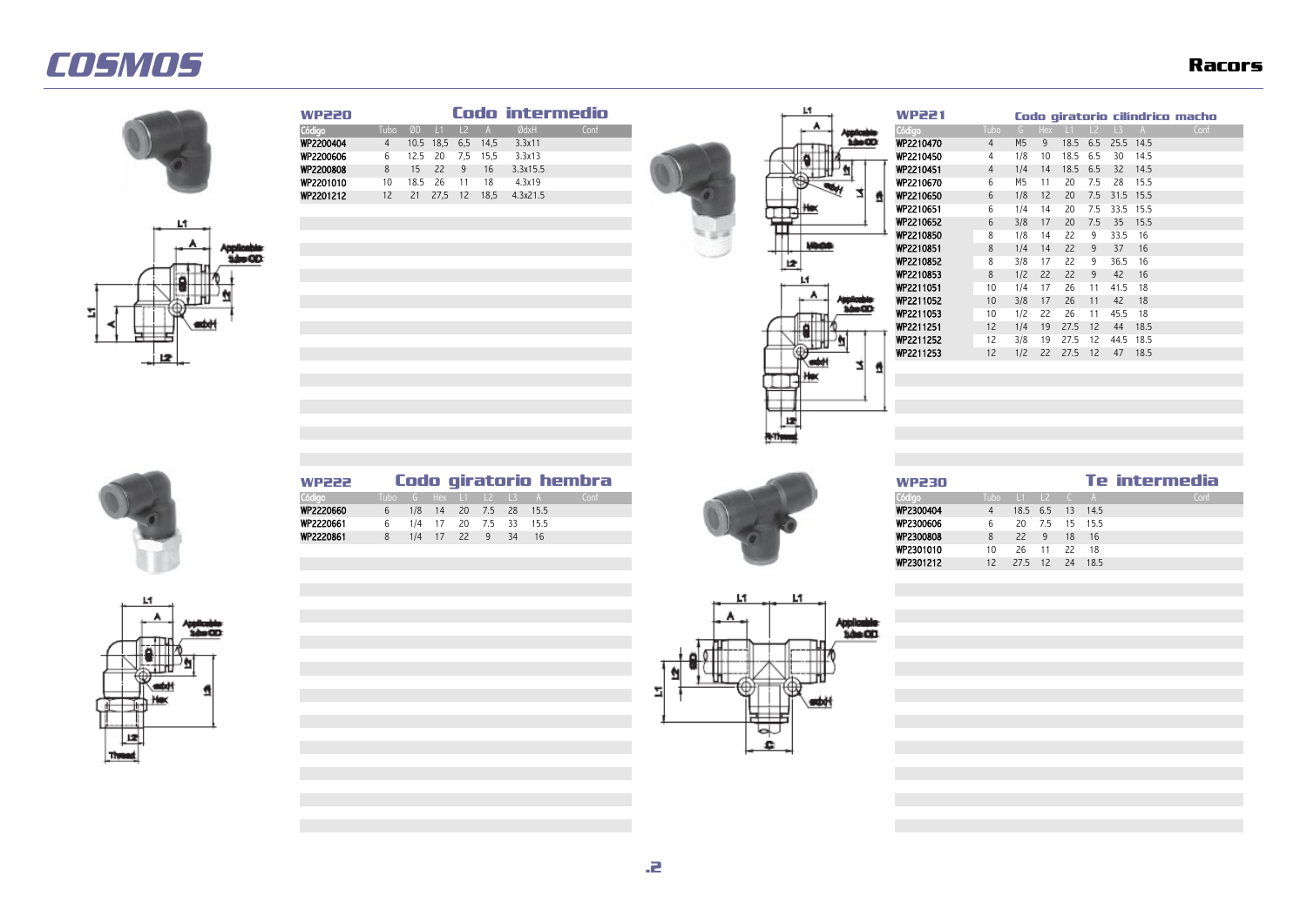



| Ŀſ |  |
|----|--|



**WP220 Codo intermedio Codo intermedio Codo de La Codo de La Codo de La Codo de La Codo de La Codo de La Codo de La Codo de La Codo de La Codo de La Codo de La Codo de La Codo de La Codo de La Codo de La Codo de La** Código Tubo ØD L1 L2 A ØdxH Conf Código Tubo G Hex L1 L2 L3 A Conf WP2200404 4 10.5 18,5 6,5 14,5 3.3x11 WP22104<br>WP2200606 6 12.5 20 7.5 15.5 3.3x13 WP22104 WP2200606 6 12.5 20 7,5 15,5 3.3x13 WP2210450 4 1/8 10 18.5 6.5 30 14.5 WP2200808 8 15 22 9 16 3.3x15.5 WP2200808 8 15 22 9 16 3.3x15.5 WP2201041 4 14 14 14 14 14 14 14 14 14 14 14 1 WP2201010 10 18.5 26 11 18 4.3x19 WP2210670 6 M5 11 20 7.5 28 15.5 WP2201212 12 21 27,5 12 18,5 4.3x21.5 WP2201212  $\rightarrow$   $\rightarrow$  MP22106





| 21 |                |     |     |               |     |      |      | Codo giratorio cilíndrico macho |
|----|----------------|-----|-----|---------------|-----|------|------|---------------------------------|
|    | Tubo           | G   | Hex | $\mathsf{L}1$ | L2  | L3   | A    | Conf                            |
| 70 | $\overline{4}$ | M5  | 9   | 18.5          | 6.5 | 25.5 | 14.5 |                                 |
| 50 | 4              | 1/8 | 10  | 18.5          | 6.5 | 30   | 14.5 |                                 |
| 51 | 4              | 1/4 | 14  | 18.5          | 6.5 | 32   | 14.5 |                                 |
| 70 | 6              | М5  | 11  | 20            | 7.5 | 28   | 15.5 |                                 |
| 50 | 6              | 1/8 | 12  | 20            | 7.5 | 31.5 | 15.5 |                                 |
| 51 | 6              | 1/4 | 14  | 20            | 7.5 | 33.5 | 15.5 |                                 |
| 52 | 6              | 3/8 | 17  | 20            | 7.5 | 35   | 15.5 |                                 |
| 50 | 8              | 1/8 | 14  | 22            | 9   | 33.5 | 16   |                                 |
| 51 | 8              | 1/4 | 14  | 22            | 9   | 37   | 16   |                                 |
| 52 | 8              | 3/8 | 17  | 22            | 9   | 36.5 | 16   |                                 |
| 53 | 8              | 1/2 | 22  | 22            | 9   | 42   | 16   |                                 |
| 51 | 10             | 1/4 | 17  | 26            | 11  | 41.5 | 18   |                                 |
| 52 | 10             | 3/8 | 17  | 26            | 11  | 42   | 18   |                                 |
| 53 | 10             | 1/2 | 22  | 26            | 11  | 45.5 | 18   |                                 |
| 51 | 12             | 1/4 | 19  | 27.5          | 12  | 44   | 18.5 |                                 |
| 52 | 12             | 3/8 | 19  | 27.5          | 12  | 44.5 | 18.5 |                                 |
| 53 | 12             | 1/2 | 22  | 27.5          | 12  | 47   | 18.5 |                                 |
|    |                |     |     |               |     |      |      |                                 |









| <b>WP2300808</b> | 8  | 22                 | -9 | 18 | 16 |  |  |
|------------------|----|--------------------|----|----|----|--|--|
| WP2301010        | 10 | 26 11 22           |    |    | 18 |  |  |
| WP2301212        |    | 12 27.5 12 24 18.5 |    |    |    |  |  |
|                  |    |                    |    |    |    |  |  |
|                  |    |                    |    |    |    |  |  |
|                  |    |                    |    |    |    |  |  |
|                  |    |                    |    |    |    |  |  |
|                  |    |                    |    |    |    |  |  |
|                  |    |                    |    |    |    |  |  |

**.2**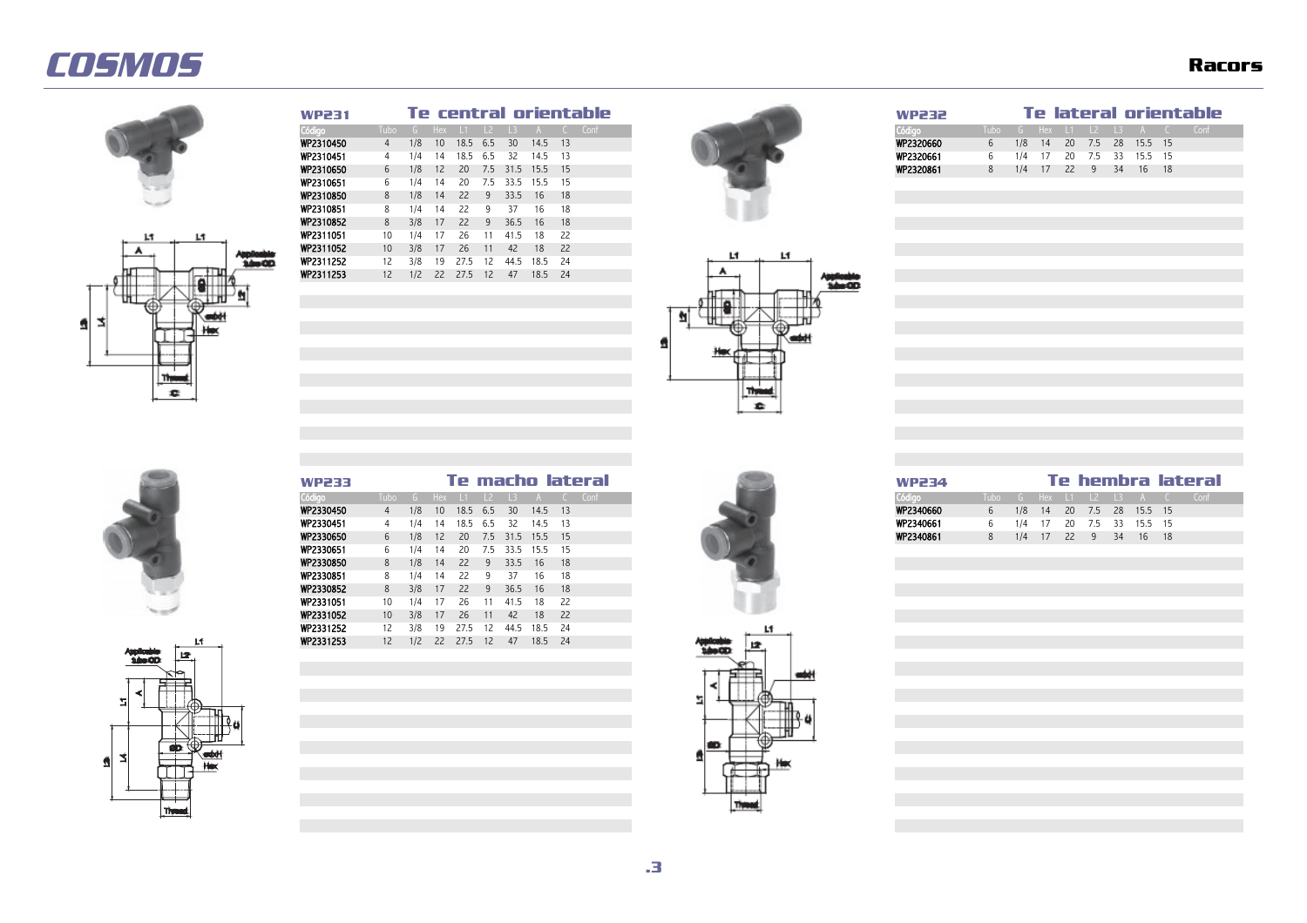



| <b>WP231</b> |         |     |                 |           |            |                 |         |      | Te central orientable |
|--------------|---------|-----|-----------------|-----------|------------|-----------------|---------|------|-----------------------|
| Código       | Tubo    |     | G Hex           |           | $\vert$ 12 | $\overline{13}$ |         |      | Conf                  |
| WP2310450    |         | 1/8 | 10 <sup>°</sup> | 18.5 6.5  |            | 30              | 14.5 13 |      |                       |
| WP2310451    |         | 1/4 | 14              | 18.5      | - 6.5      | 32              | 14.5 13 |      |                       |
| WP2310650    | 6       | 1/8 | 12              | <b>20</b> |            | 7.5 31.5        | 15.5 15 |      |                       |
| WP2310651    |         | 1/4 | 14              | 20        | 7.5        | 33.5            | 15.5    | - 15 |                       |
| WP2310850    | 8       | 1/8 | 14              | 22        | -9         | 33.5            | 16      | -18  |                       |
| WP2310851    | 8       | 1/4 | 14              | 22        | 9.         | 37              | 16      | 18   |                       |
| WP2310852    | 8       | 3/8 | 17              | 22        | -9         | 36.5            | 16      | 18   |                       |
| WP2311051    | 10      | 1/4 |                 | 26        |            | 41.5            | 18      | 22   |                       |
| WP2311052    | $10-10$ | 3/8 | 17              | 26        |            | 42              | 18      | - 22 |                       |
| WP2311252    | 12      | 3/8 | 19              | 27.5      | 12         | 44.5            | 18.5    | - 24 |                       |
| WP2311253    | 12.     | 1/2 | 22              | 27.5      | 12         | 47              | 18.5    | - 24 |                       |





| <b>WP233</b>     |  |  |  |                              | Te macho lateral |  |  | <b>WP234</b> |  |  |  |                          | Te hembra lateral            |  |
|------------------|--|--|--|------------------------------|------------------|--|--|--------------|--|--|--|--------------------------|------------------------------|--|
| Código           |  |  |  | Tubo G Hex L1 L2 L3 A C Conf |                  |  |  | Código       |  |  |  |                          | Tubo G Hex L1 L2 L3 A C Conf |  |
| <b>WP2330450</b> |  |  |  | 4 1/8 10 18.5 6.5 30 14.5 13 |                  |  |  | WP2340660    |  |  |  | 1/8 14 20 7.5 28 15.5 15 |                              |  |
| <b>WP2330451</b> |  |  |  | 4 1/4 14 18.5 6.5 32 14.5 13 |                  |  |  | WP2340661    |  |  |  | 1/4 17 20 7.5 33 15.5 15 |                              |  |
| <b>WP2330650</b> |  |  |  | 6 1/8 12 20 7.5 31.5 15.5 15 |                  |  |  | WP2340861    |  |  |  | 1/4 17 22 9 34 16 18     |                              |  |





| <b>WP233</b>     |                 |     |                 |      |     |      |              | Te macho lateral | Te hembra latera<br><b>WP234</b>               |         |
|------------------|-----------------|-----|-----------------|------|-----|------|--------------|------------------|------------------------------------------------|---------|
| Código           | Tubo l          |     | G Hex           |      |     |      |              | Conf             | Código<br>Tubo<br>G Hex                        |         |
| WP2330450        | 4               | 1/8 | 10 <sup>°</sup> | 18.5 | 6.5 | 30   | 14.5         | 13               | WP2340660<br>7.5<br>28<br>1/8<br>20<br>6<br>14 | 15.5 15 |
| WP2330451        | 4               | 1/4 | 14              | 18.5 | 6.5 | 32   | 14.5         | - 13             | WP2340661<br>1/4<br>20<br>7.5<br>33<br>6.      | 15.5    |
| <b>WP2330650</b> | 6               | 1/8 | 12              | 20   | 7.5 |      | 31.5 15.5 15 |                  | WP2340861<br>1/4<br>22<br>8<br>34<br>17<br>9   | 16      |
| WP2330651        | 6               | 1/4 | 14              | 20   | 7.5 | 33.5 | 15.5         | - 15             |                                                |         |
| <b>WP2330850</b> | 8               | 1/8 | 14              | 22   | 9   | 33.5 | 16           | 18               |                                                |         |
| WP2330851        | 8               | 1/4 | 14              | 22   | a   | 37   | 16           | 18               |                                                |         |
| WP2330852        | 8               | 3/8 | 17              | 22   | q   | 36.5 | 16           | 18               |                                                |         |
| WP2331051        | 10              | 1/4 | -17             | 26   |     | 41.5 | 18           | - 22             |                                                |         |
| WP2331052        | 10 <sup>°</sup> | 3/8 | 17              | 26   | 11  | 42   | 18           | - 22             |                                                |         |
| WP2331252        | 12              | 3/8 | 19              | 27.5 | 12  | 44.5 | 18.5         | 24               |                                                |         |
| WP2331253        | 12 <sup>2</sup> | 1/2 | 22              | 27.5 | 12  | 47   | 18.5         | 24               |                                                |         |



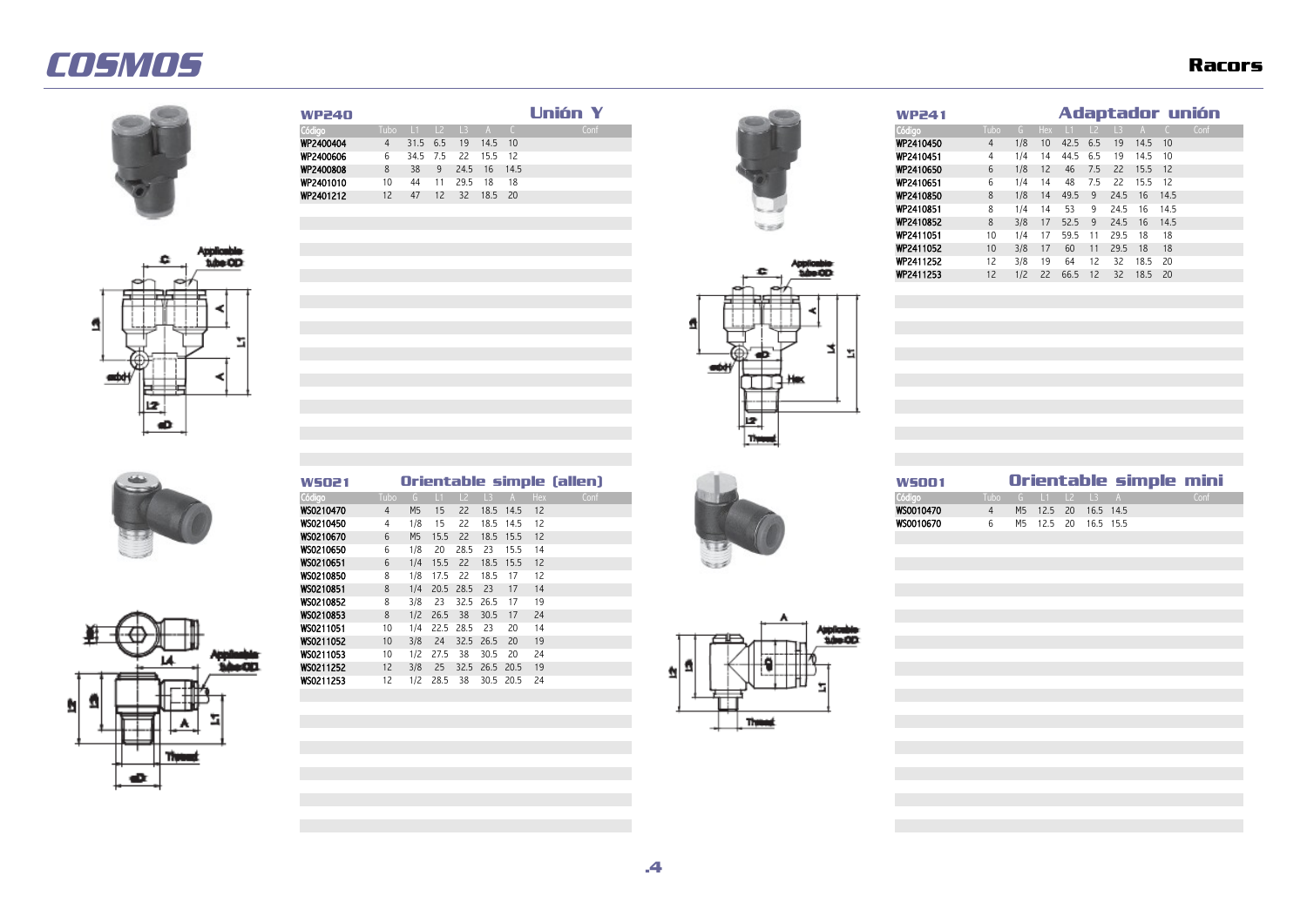







WS0210470 4 M5 15 22 18.5 14.5 12<br>WS0210450 4 1/8 15 22 18.5 14.5 12 WS0210450 4 1/8 15 22 18.5 14.5 12<br>WS0210670 6 M5 15.5 22 18.5 15.5 12 WS0210670 6 M5 15.5 22 18.5 15.5 12<br>WS0210650 6 1/8 20 28.5 23 15.5 14 **WS0210650** 6 1/8 20 28.5 23 15.5 14<br>**WS0210651** 6 1/4 15.5 22 18.5 15.5 12 WS0210651 6 1/4 15.5 22 18.5 15.5 12<br>WS0210850 8 1/8 17.5 22 18.5 17 12 **WS0210850** 8 1/8 17.5 22 18.5 17 12<br>**WS0210851** 8 1/4 20.5 28.5 23 17 14 **WS0210851** 8 1/4 20.5 28.5 23 17 14<br>**WS0210852** 8 3/8 23 32.5 26.5 17 19 **WS0210852** 8 3/8 23 32.5 26.5 17 19<br>**WS0210853** 8 1/2 26.5 38 30.5 17 24 WS0210853 8 1/2 26.5 38 30.5 17 24<br>WS0211051 10 1/4 22.5 28.5 23 20 14 WS0211051 10 1/4 22.5 28.5 23 20 14<br>WS0211052 10 3/8 24 32.5 26.5 20 19 WS0211052 10 3/8 24 32.5 26.5 20 19<br>WS0211053 10 1/2 27.5 38 30.5 20 24 WS0211053 10 1/2 27.5 38 30.5 20 24<br>WS0211252 12 3/8 25 32.5 26.5 20.5 19 WS0211252 12 3/8 25 32.5 26.5 20.5 19<br>WS0211253 12 1/2 28.5 38 30.5 20.5 24

12 1/2 28.5 38 30.5 20.5 24





| WP240            |    |               |    |              |         |     | <b>Unión Y</b> |  | <b>WP241</b> |                     |     |                 |          |      |              |           |      | Adaptador unión |  |
|------------------|----|---------------|----|--------------|---------|-----|----------------|--|--------------|---------------------|-----|-----------------|----------|------|--------------|-----------|------|-----------------|--|
| Código           |    | Tubo L1 L2 L3 |    |              |         |     | Conf           |  | Código       | Tubo G Hex L1 L2 L3 |     |                 |          |      |              |           |      | Conf            |  |
| WP2400404        |    | 4 31.5 6.5    |    | 19 14.5 10   |         |     |                |  | WP2410450    |                     | 1/8 | 10 <sup>1</sup> | 42.5 6.5 |      | 19           | 14.5 10   |      |                 |  |
| <b>WP2400606</b> | 6  |               |    | 34.5 7.5 22  | 15.5 12 |     |                |  | WP2410451    |                     | 1/4 | 14              | 44.5     | 6.5  | - 19         | 14.5 10   |      |                 |  |
| <b>WP2400808</b> | 8  | 38            | 9  | 24.5 16 14.5 |         |     |                |  | WP2410650    | 6                   | 1/8 | 12              | -46      | 7.5  | - 22         | $15.5$ 12 |      |                 |  |
| WP2401010        | 10 | 44            |    | 29.5         | - 18    | -18 |                |  | WP2410651    | b                   | 1/4 | 14              | 48       | 7.5  | -22          | 15.5 12   |      |                 |  |
| WP2401212        | 12 | 47            | 12 | 32 18.5 20   |         |     |                |  | WP2410850    | 8                   | 1/8 | 14              | 49.5 9   |      | 24.5 16 14.5 |           |      |                 |  |
|                  |    |               |    |              |         |     |                |  | WP2410851    | 8                   | 14  | 14              | -53      | 9.   | 24.5         | 16 14.5   |      |                 |  |
|                  |    |               |    |              |         |     |                |  | WP2410852    | 8                   | 3/8 | 17              | 52.5 9   |      | 24.5 16 14.5 |           |      |                 |  |
|                  |    |               |    |              |         |     |                |  | WP2411051    | 10                  | 1/4 | 17              | 59.5     |      | 29.5         | -18       | - 18 |                 |  |
|                  |    |               |    |              |         |     |                |  | WP2411052    | 10 <sup>°</sup>     | 3/8 | 17              | -60      | -11- | 29.5 18 18   |           |      |                 |  |
|                  |    |               |    |              |         |     |                |  | WP2411252    | 12                  | 3/8 | 19              | -64      | 12.  | -32.         | 18.5 20   |      |                 |  |
|                  |    |               |    |              |         |     |                |  | WP2411253    | 12                  | 1/2 | 22              | 66.5 12  |      | 32           | 18.5 20   |      |                 |  |



| wsoz 1           |                        |  |                       | Orientable simple (allen) | WSOOT               |                   |  |                   |                      | Orientable simple mini |  |
|------------------|------------------------|--|-----------------------|---------------------------|---------------------|-------------------|--|-------------------|----------------------|------------------------|--|
| Código           | 'Tubo G L1 L2 L3 A Hex |  |                       |                           | Código <sup>1</sup> | Tubo G 11 12 13 A |  |                   |                      |                        |  |
| <b>WS0210470</b> |                        |  | M5 15 22 18.5 14.5 12 |                           | WS0010470           |                   |  |                   | M5 12.5 20 16.5 14.5 |                        |  |
| <b>WS0210450</b> | 178                    |  | 18.5 14.5             |                           | WS0010670           |                   |  | 12.5 20 16.5 15.5 |                      |                        |  |



**.4**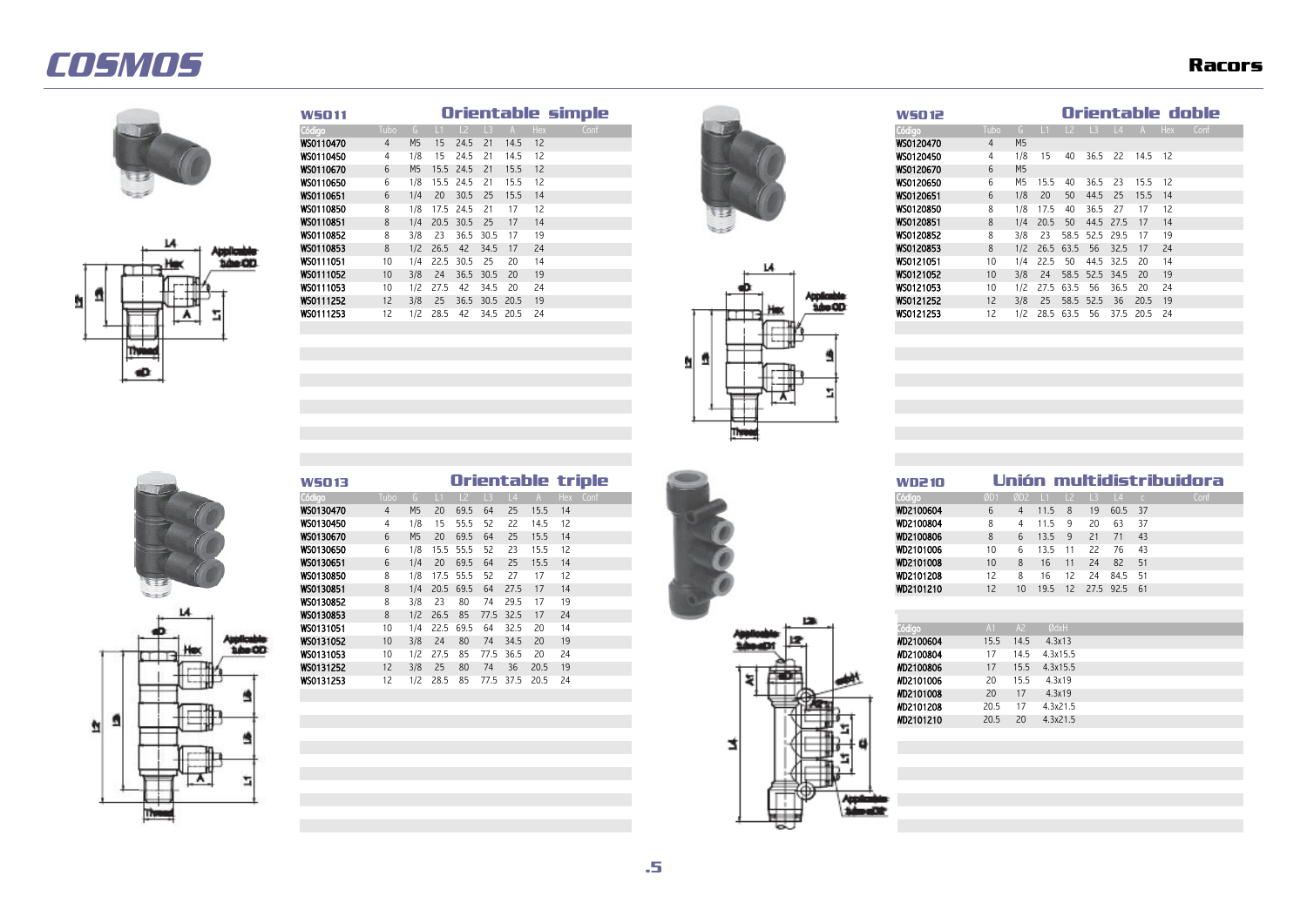



| <b>W5011</b> |      |     |           |              |                |                   |     | urientable simble |  |   |  | W50 12    |                 |                |           |                |                 |           |          | UNEMENT ON |      |
|--------------|------|-----|-----------|--------------|----------------|-------------------|-----|-------------------|--|---|--|-----------|-----------------|----------------|-----------|----------------|-----------------|-----------|----------|------------|------|
| Código       | Tubo |     |           | $\vert$ 2    | $\overline{3}$ |                   | Hex | Conf              |  |   |  | Código    | Tubo            |                |           | $\overline{2}$ | $\overline{13}$ |           | L4 A Hex |            | Cont |
| WS0110470    | 4    | M5  | 15        | 24.5         | 21             | 14.5              | 12  |                   |  |   |  | WS0120470 | 4               | M <sub>5</sub> |           |                |                 |           |          |            |      |
| WS0110450    | 4    | 1/8 | 15.       | 24.5         | -21            | 14.5              | 12  |                   |  |   |  | WS0120450 |                 | 1/8            | 15        | 40             | 36.5            | -22       | 14.5 12  |            |      |
| WS0110670    | 6    | M5  |           | 15.5 24.5 21 |                | 15.5 12           |     |                   |  |   |  | WS0120670 | 6               | M <sub>5</sub> |           |                |                 |           |          |            |      |
| WS0110650    | 6    | 18  |           | 15.5 24.5    | - 21           | 15.5              | 12  |                   |  |   |  | WS0120650 | 6               | M5             | 15.5      | 40             | 36.5            | -23       | 15.5     | 12         |      |
| WS0110651    | 6    | 1/4 | <b>20</b> | 30.5         | - 25           | 15.5              | 14  |                   |  |   |  | WS0120651 | 6               | 1/8            | 20        | 50             | 44.5            | 25        | 15.5     | 14         |      |
| WS0110850    | 8    | 1/8 |           | 17.5 24.5    | - 21           | -17               | -12 |                   |  |   |  | WS0120850 | 8               | 1/8            | 17.5      | -40            | 36.5            | -27       |          | 12         |      |
| WS0110851    | 8    | 1/4 |           | 20.5 30.5 25 |                | -17               | 14  |                   |  |   |  | WS0120851 | 8               | 1/4            | 20.5      | 50             |                 | 44.5 27.5 | 17       | 14         |      |
| WS0110852    | 8    | 3/8 | 23        |              | 36.5 30.5      | - 17              | 19  |                   |  |   |  | WS0120852 | 8               | 3/8            | 23        |                | 58.5 52.5 29.5  |           | 17       | 19         |      |
| WS0110853    | 8    | 1/2 | 26.5      | - 42         | 34.5           | $-17$             | 24  |                   |  |   |  | WS0120853 | 8               | 1/2            | 26.5 63.5 |                | -56             | 32.5      | 17       | 24         |      |
| WS0111051    | 10   | 1/4 |           | 22.5 30.5    | - 25           | -20               | -14 |                   |  | и |  | WS0121051 | 10              | 1/4            | 22.5      | -50            | 44.5 32.5       |           | - 20     | 14         |      |
| WS0111052    | 10   | 3/8 | 24        | 36.5         | 30.5           | - 20              | 19  |                   |  |   |  | WS0121052 | 10 <sup>°</sup> | 3/8            | 24        |                | 58.5 52.5 34.5  |           | -20      | 19         |      |
| WS0111053    | 10   | 1/2 | 27.5      | 42           | 34.5           | -20               | 24  |                   |  |   |  | WS0121053 | 10              | 1/2            | 27.5 63.5 |                | -56             | 36.5      | 20       | 24         |      |
| WS0111252    | 12   | 3/8 | 25        |              |                | 36.5 30.5 20.5 19 |     |                   |  |   |  | WS0121252 | 12              | 3/8            | 25        | 58.5           | 52.5            | 36        | 20.5     | 19         |      |
| WS0111253    | 12   | 1/2 | 28.5      | 42           |                | 34.5 20.5 24      |     |                   |  |   |  | WS0121253 | 12              | 1/2            | 28.5 63.5 |                | -56             | 37.5      | 20.5 24  |            |      |
|              |      |     |           |              |                |                   |     |                   |  |   |  |           |                 |                |           |                |                 |           |          |            |      |





| WSO 11           |                   |                |      |      |           |           |       | Orientable simple |
|------------------|-------------------|----------------|------|------|-----------|-----------|-------|-------------------|
| Código           | Tubo              |                |      |      |           |           | - Hex | Conf              |
| WS0110470        |                   | M <sub>5</sub> | 15   | 24.5 | 21        | 14.5      | 12    |                   |
| WS0110450        | 4                 | 78             | 15.  | 24.5 | 21        | 14.5      | 12    |                   |
| <b>WSO110670</b> | 6                 | M5             | 15.5 | 24.5 | 21        | 15.5      | 12    |                   |
| WS0110650        | 6                 | 78.            | 15.5 | 24.5 | -21       | 15.5      | 12    |                   |
| WS0110651        | 6                 | 174            | 20   | 30.5 | - 25      | 15.5      | 14    |                   |
| WS0110850        | 8                 | 78             | 17.5 | 24.5 | 21        |           | 12    |                   |
| WS0110851        | 8                 | 1/4            | 20.5 | 30.5 | - 25      | 17        | 14    |                   |
| WS0110852        | 8                 | 3/8            | 23   | 36.5 | 30.5      | -17       | 19    |                   |
| WS0110853        | 8                 | 1/2            | 26.5 | 42   | 34.5      | 17        | -24   |                   |
| WS0111051        | 10                | $\sqrt{4}$     | 22.5 | 30.5 | -25       | -20       | 14    |                   |
| WS0111052        | 10 <sup>°</sup>   | 3/8            | 24   |      | 36.5 30.5 | - 20      | 19    |                   |
| WS0111053        | 10                | 12             | 27.5 | 42   | 34.5      | -20       | -24   |                   |
| WS0111252        | $12 \overline{ }$ | 3/8            | -25  | 36.5 | 30.5 20.5 |           | -19   |                   |
| WS0111253        |                   | 12             | 28.5 | 42   |           | 34.5 20.5 | -24   |                   |





A

۳,

 $\overline{\mathbf{u}}$ 

| <b>W5013</b> |                 |                |      |      |      |           |      | Orientable triple |
|--------------|-----------------|----------------|------|------|------|-----------|------|-------------------|
| Código       | Tubo            |                |      |      |      |           |      | Hex<br>Conf       |
| WS0130470    | 4               | M <sub>5</sub> | 20   | 69.5 | - 64 | 25        | 15.5 | 14                |
| WS0130450    | 4               | 78             | 15   | 55.5 | 52   | 22        | 14.5 | 12                |
| WS0130670    | 6               | M5             | 20   | 69.5 | -64  | 25        | 15.5 | 14                |
| WS0130650    | 6               | 1/8            | 15.5 | 55.5 | -52  | -23       | 15.5 | 12                |
| WS0130651    | 6               | 1/4            | 20   | 69.5 | -64  | 25        | 15.5 | 14                |
| WS0130850    | 8               | 78             | 7.5  | 55.5 | -52  |           |      | 12                |
| WS0130851    | 8               | 1/4            | 20.5 | 69.5 | -64  | 27.5      |      | 14                |
| WS0130852    | 8               | 3/8            | 23   | 80   | 74   | 29.5      |      | 19                |
| WS0130853    | 8               | 1/2            | 26.5 | 85   |      | 77.5 32.5 | 17   | 24                |
| WS0131051    | 10              | $\sqrt{4}$     | 22.5 | 69.5 | 64   | 32.5      | 20   | 14                |
| WS0131052    | 10 <sup>°</sup> | 3/8            | 24   | 80   | 74   | 34.5      | 20   | 19                |
| WS0131053    | 10              | 1/2            | 27.5 | 85   | 77.5 | 36.5      | 20   | 24                |
| WS0131252    | 12              | 3/8            | 25   | -80  | 74   | 36        | 20.5 | 19                |
| WS0131253    |                 | 12             | 28.5 | -85  | 77.5 | 37.5      | 20.5 | 24                |





| VD2 10  |                 |                |      |                |               |                 |            | Unión multidistribuidora |
|---------|-----------------|----------------|------|----------------|---------------|-----------------|------------|--------------------------|
| digo    | ØD <sub>1</sub> | ØD2            | TĿ   | $\frac{12}{2}$ | $\mathsf{L}3$ | $\vert 4 \vert$ | $\epsilon$ | Conf                     |
| 2100604 | 6               | $\overline{4}$ | 11.5 | - 8            | 19            | 60.5            | -37        |                          |
| 2100804 | 8               | 4              | 11.5 | - 9            | 20            | 63              | 37         |                          |
| 2100806 | 8               | 6              | 13.5 | - 9            | 21            | 71              | 43         |                          |
| 2101006 | 10              | 6              | 13.5 | 11             | 22            | - 76            | 43         |                          |
| 2101008 | 10              | 8              | 16   | 11             | 24            | 82              | 51         |                          |
| 2101208 | 12              | 8              | 16   | 12             | 24            | 84.5            | 51         |                          |
| 2101210 | 12              | 10             | 19.5 | 12             | 27.5 92.5     |                 | 61         |                          |

| Código    | A <sub>1</sub> | A <sup>2</sup> | ØdxH     |  |
|-----------|----------------|----------------|----------|--|
| WD2100604 | 15.5           | 14.5           | 4.3x13   |  |
| MD2100804 | 17             | 14.5           | 4.3x15.5 |  |
| WD2100806 | 17             | 15.5           | 4.3x15.5 |  |
| MD2101006 | 20             | 15.5           | 4.3x19   |  |
| WD2101008 | 20             | 17             | 4.3x19   |  |
| MD2101208 | 20.5           | 17             | 4.3x21.5 |  |
| WD2101210 | 20.5           | 20             | 4.3x21.5 |  |
|           |                |                |          |  |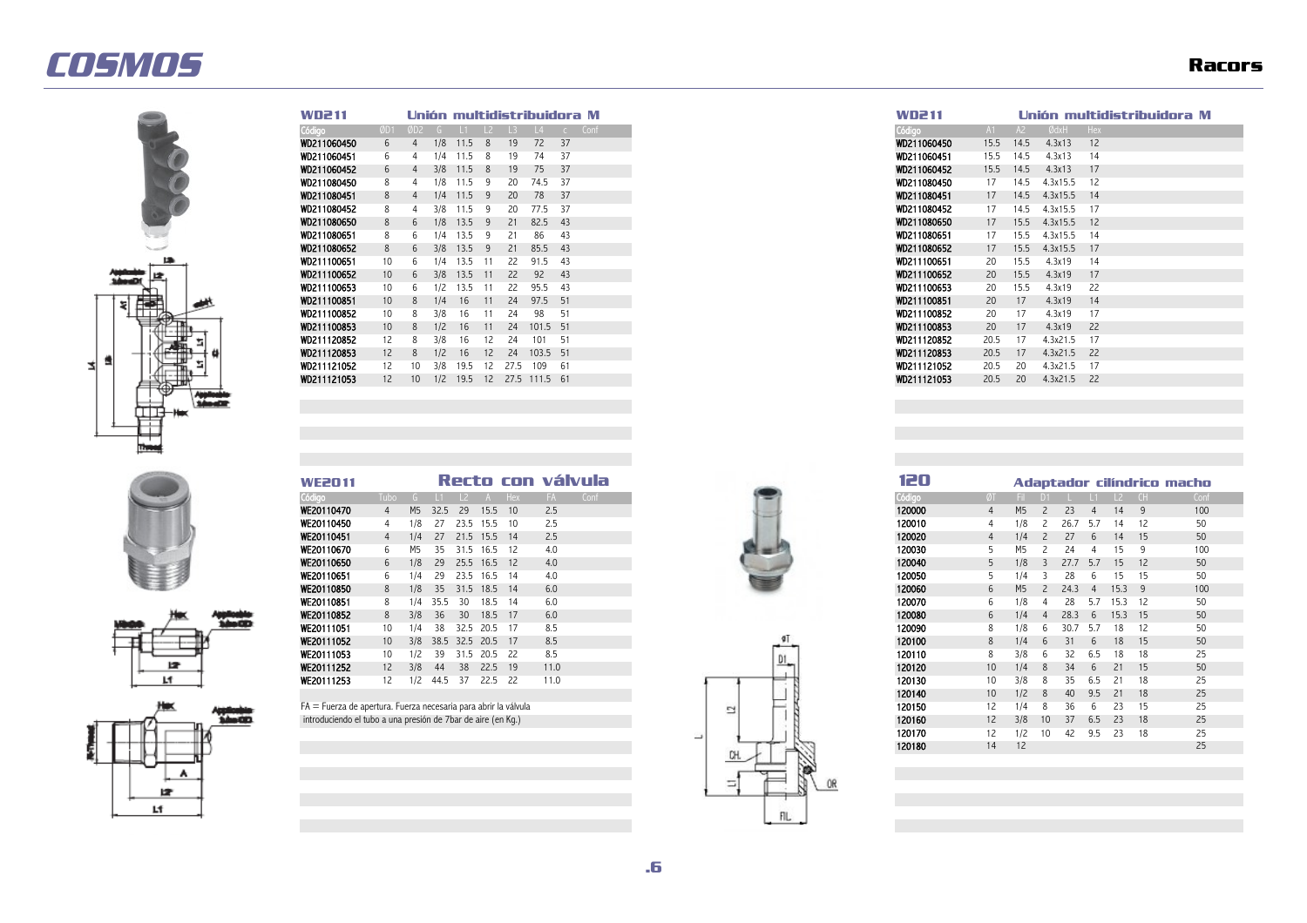

| WD2 11      |                   |                 |     |         |    |      | Unión multidistribuidora M |     |      |
|-------------|-------------------|-----------------|-----|---------|----|------|----------------------------|-----|------|
| Código      | ØD1               | ØD <sub>2</sub> |     |         |    |      |                            |     | Conf |
| WD211060450 | 6                 |                 | 1/8 | 11.5    | 8  | 19   | 72                         | 37  |      |
| WD211060451 | 6                 |                 | 1/4 | 1.5     | 8  | 19   | 74                         | 37  |      |
| WD211060452 | 6                 |                 | 3/8 | 11.5    | 8  | 19   | 75                         | 37  |      |
| WD211080450 |                   |                 | 1/8 | 1.5     | 9  | 20   | 74.5                       | 37  |      |
| WD211080451 | 8                 | 4               | 1/4 | $-11.5$ |    | 20   | 78                         | 37  |      |
| WD211080452 |                   |                 | 3/8 | 1.5     |    | 20   | 77.5                       | 37  |      |
| WD211080650 | 8                 | 6               | 1/8 | 13.5    | 9  | 21   | 82.5                       | 43  |      |
| WD211080651 |                   | 6               | 1/4 | 13.5    | 9  | 21   | 86                         | 43  |      |
| WD211080652 | 8                 | 6               | 3/8 | 13.5    | 9  | 21   | 85.5                       | 43  |      |
| WD211100651 | 10                | 6               | 1/4 | 13.5    |    | 22   | 91.5                       | 43  |      |
| WD211100652 | 10 <sup>°</sup>   | 6               | 3/8 | 13.5    |    | 22   | 92                         | 43  |      |
| WD211100653 | 10                | 6               | 1/2 | 13.5    |    | 22   | 95.5                       | 43  |      |
| WD211100851 | 10                | 8               | 1/4 | 16      |    | 24   | 97.5                       | -51 |      |
| WD211100852 | 10                | 8               | 3/8 | 16      |    | 24   | 98                         | 51  |      |
| WD211100853 | 10 <sup>°</sup>   | 8               | 1/2 | 16      |    | 24   | 101.5 51                   |     |      |
| WD211120852 | 12                | 8               | 3/8 | 16      | 12 | 24   | 101                        | -51 |      |
| WD211120853 | $12 \overline{ }$ | 8               | 1/2 | 16      | 12 | 24   | 103.5 51                   |     |      |
| WD211121052 | 12                | 10              | 3/8 | 19.5    | 12 | 27.5 | 109                        | 61  |      |
| WD211121053 | 12                | 10              | 1/2 | 19.5    | 12 |      | 27.5 111.5 61              |     |      |

|  | ۰ |  |  |
|--|---|--|--|
|  |   |  |  |
|  |   |  |  |
|  |   |  |  |
|  |   |  |  |





| <b>WE2011</b>                              |      |      |         |     |     | Recto con válvula |
|--------------------------------------------|------|------|---------|-----|-----|-------------------|
| Tubo                                       |      |      |         | Hex |     | Conf              |
| M5                                         | 32.5 | - 29 | 15.5 10 |     | 2.5 |                   |
| 1/8                                        | 27   | 23.5 | 15.5    | 10  | 2.5 |                   |
| 21.5<br>27<br>1/4                          |      |      | 15.5 14 |     | 2.5 |                   |
| 31.5 16.5 12<br>35<br>M5                   |      |      |         |     | 4.0 |                   |
| 25.5<br>16.5 12<br>1/8<br>29               |      |      |         |     | 4.0 |                   |
| 23.5<br>4.0<br>29<br>16.5<br>14<br>74      |      |      |         |     |     |                   |
| 1/8<br>35<br>31.5<br>18.5 14<br>6.0        |      |      |         |     |     |                   |
| 6.0<br>30<br>18.5<br>- 14<br>74<br>35.5    |      |      |         |     |     |                   |
| 6.0<br>3/8<br>30<br>18.5 17<br>36          |      |      |         |     |     |                   |
| 8.5<br>32.5<br>20.5 17<br>38<br>1/4        |      |      |         |     |     |                   |
| 8.5<br>38.5 32.5 20.5 17<br>3/8            |      |      |         |     |     |                   |
| 20.5 22<br>8.5<br>39<br>31.5<br>1/2        |      |      |         |     |     |                   |
| 11.0<br>3/8<br>22.5<br>38<br>19<br>44      |      |      |         |     |     |                   |
| 11.0<br>1/2<br>22.5<br>- 22<br>-37<br>44.5 |      |      |         |     |     |                   |



| WD2 11              |      |              |                   |     | Unión multidistribuidora M |
|---------------------|------|--------------|-------------------|-----|----------------------------|
| ódigo               | A1   | A2           | ØdxH              | Hex |                            |
| VD211060450         | 15.5 | 14.5         | 4.3x13            | 12  |                            |
| VD211060451         | 15.5 | 14.5         | 4.3x13            | 14  |                            |
| VD211060452         | 15.5 | 14.5         | 4.3x13            | 17  |                            |
| VD211080450         | 17   | 14.5         | 4.3x15.5          | 12  |                            |
| VD211080451         | 17   | 14.5         | 4.3x15.5          | 14  |                            |
| VD211080452         | 17   | 14.5         | 4.3x15.5          | 17  |                            |
| VD211080650         | 17   | 15.5         | 4.3x15.5          | 12  |                            |
| VD211080651         | 17   | 15.5         | 4.3x15.5          | 14  |                            |
| VD211080652         | 17   | 15.5         | 4.3x15.5          | 17  |                            |
| VD211100651         | 20   | 15.5         | 4.3x19            | 14  |                            |
| VD211100652         | 20   | 15.5         | 4.3x19            | 17  |                            |
| VD211100653         | 20   | 15.5         | 4.3x19            | 22  |                            |
| VD211100851         | 20   | 17           | 4.3x19            | 14  |                            |
| VD211100852         | 20   | 17           | 4.3x19            | 17  |                            |
| VD211100853         | 20   | 17           | 4.3x19            | 22  |                            |
| VD211120852         | 20.5 | 17           | 4.3x21.5          | 17  |                            |
| VD211120853         | 20.5 | 17           | 4.3x21.5          | 22  |                            |
| VD211121052         | 20.5 | 20           | 4.3x21.5          | 17  |                            |
| <b>UND 11101050</b> | 20E  | $20^{\circ}$ | $1.2 \times 21$ E | つつ  |                            |

| Código<br>Tubo<br>Conf<br><b>Hex</b><br>FA.<br>WE20110470<br>2.5<br>15.5<br>M <sub>5</sub><br>29<br>10<br>32.5<br>4<br><b>WE20110450</b><br>2.5<br>23.5<br>1/8<br>15.5<br>- 10<br>4<br>WE20110451<br>2.5<br>21.5<br>1/4<br>15.5<br>14<br>4<br>4.0<br>- and<br><b>WE20110670</b><br>6<br>- 12<br>16.5<br>31.5<br>M5<br>35<br>WE20110650<br>4.0<br>1/8<br>25.5<br>16.5<br>6<br>29<br>-12<br>WE20110651<br>4.0<br>29<br>23.5<br>6<br>16.5<br>-14<br>14<br>WE20110850<br>1/8<br>6.0<br>8<br>31.5<br>18.5<br>35<br>14<br>WE20110851<br>6.0<br>18.5<br>8<br>35.5<br>30<br>-14<br>$\sqrt{4}$<br>WE20110852<br>6.0<br>30<br>18.5<br>17<br>8<br>3/8<br>36<br>WE20111051<br>8.5<br>10<br>14<br>32.5<br>20.5<br>- 17<br>WE20111052<br>8.5<br>20.5<br>10<br>3/8<br>38.5<br>32.5<br>17<br>WE20111053<br>8.5<br>20.5<br>10<br>- 22<br>1/2<br>39<br>31.5<br>WE20111252<br>22.5<br>11.0<br>12<br>3/8<br>38<br>- 19<br>44<br>WE20111253<br>12<br>1/2<br>22.5 22<br>11.0<br>- 37<br>44.5<br>FA = Fuerza de apertura. Fuerza necesaria para abrir la válvula<br>렄<br>introduciendo el tubo a una presión de 7bar de aire (en Kq.)<br>ш<br>rн | WE2011 |  |  |  | Recto con válvula |
|---------------------------------------------------------------------------------------------------------------------------------------------------------------------------------------------------------------------------------------------------------------------------------------------------------------------------------------------------------------------------------------------------------------------------------------------------------------------------------------------------------------------------------------------------------------------------------------------------------------------------------------------------------------------------------------------------------------------------------------------------------------------------------------------------------------------------------------------------------------------------------------------------------------------------------------------------------------------------------------------------------------------------------------------------------------------------------------------------------------------------|--------|--|--|--|-------------------|
|                                                                                                                                                                                                                                                                                                                                                                                                                                                                                                                                                                                                                                                                                                                                                                                                                                                                                                                                                                                                                                                                                                                           |        |  |  |  |                   |
| 120010                                                                                                                                                                                                                                                                                                                                                                                                                                                                                                                                                                                                                                                                                                                                                                                                                                                                                                                                                                                                                                                                                                                    |        |  |  |  |                   |
| 120020<br>120030<br>120040<br>120050<br>120060<br>120070<br>120080<br>120090<br>120100<br>120110<br>120120<br>120130<br>120140<br>120150<br>120160<br>120170<br>120180                                                                                                                                                                                                                                                                                                                                                                                                                                                                                                                                                                                                                                                                                                                                                                                                                                                                                                                                                    |        |  |  |  |                   |
|                                                                                                                                                                                                                                                                                                                                                                                                                                                                                                                                                                                                                                                                                                                                                                                                                                                                                                                                                                                                                                                                                                                           |        |  |  |  |                   |
|                                                                                                                                                                                                                                                                                                                                                                                                                                                                                                                                                                                                                                                                                                                                                                                                                                                                                                                                                                                                                                                                                                                           |        |  |  |  |                   |
|                                                                                                                                                                                                                                                                                                                                                                                                                                                                                                                                                                                                                                                                                                                                                                                                                                                                                                                                                                                                                                                                                                                           |        |  |  |  |                   |
|                                                                                                                                                                                                                                                                                                                                                                                                                                                                                                                                                                                                                                                                                                                                                                                                                                                                                                                                                                                                                                                                                                                           |        |  |  |  |                   |
|                                                                                                                                                                                                                                                                                                                                                                                                                                                                                                                                                                                                                                                                                                                                                                                                                                                                                                                                                                                                                                                                                                                           |        |  |  |  |                   |
|                                                                                                                                                                                                                                                                                                                                                                                                                                                                                                                                                                                                                                                                                                                                                                                                                                                                                                                                                                                                                                                                                                                           |        |  |  |  |                   |
|                                                                                                                                                                                                                                                                                                                                                                                                                                                                                                                                                                                                                                                                                                                                                                                                                                                                                                                                                                                                                                                                                                                           |        |  |  |  |                   |
| 8                                                                                                                                                                                                                                                                                                                                                                                                                                                                                                                                                                                                                                                                                                                                                                                                                                                                                                                                                                                                                                                                                                                         |        |  |  |  |                   |
| 8<br>10 <sup>°</sup><br>10<br>10 <sup>°</sup><br>12<br>12<br>12<br>14                                                                                                                                                                                                                                                                                                                                                                                                                                                                                                                                                                                                                                                                                                                                                                                                                                                                                                                                                                                                                                                     |        |  |  |  |                   |
|                                                                                                                                                                                                                                                                                                                                                                                                                                                                                                                                                                                                                                                                                                                                                                                                                                                                                                                                                                                                                                                                                                                           |        |  |  |  |                   |
|                                                                                                                                                                                                                                                                                                                                                                                                                                                                                                                                                                                                                                                                                                                                                                                                                                                                                                                                                                                                                                                                                                                           |        |  |  |  |                   |
|                                                                                                                                                                                                                                                                                                                                                                                                                                                                                                                                                                                                                                                                                                                                                                                                                                                                                                                                                                                                                                                                                                                           |        |  |  |  |                   |
|                                                                                                                                                                                                                                                                                                                                                                                                                                                                                                                                                                                                                                                                                                                                                                                                                                                                                                                                                                                                                                                                                                                           |        |  |  |  |                   |
|                                                                                                                                                                                                                                                                                                                                                                                                                                                                                                                                                                                                                                                                                                                                                                                                                                                                                                                                                                                                                                                                                                                           |        |  |  |  |                   |
|                                                                                                                                                                                                                                                                                                                                                                                                                                                                                                                                                                                                                                                                                                                                                                                                                                                                                                                                                                                                                                                                                                                           |        |  |  |  |                   |
|                                                                                                                                                                                                                                                                                                                                                                                                                                                                                                                                                                                                                                                                                                                                                                                                                                                                                                                                                                                                                                                                                                                           |        |  |  |  |                   |
|                                                                                                                                                                                                                                                                                                                                                                                                                                                                                                                                                                                                                                                                                                                                                                                                                                                                                                                                                                                                                                                                                                                           |        |  |  |  |                   |



| 6  | M5  | 2              | 24.3 | $\overline{4}$ | 15.3 | 9  | 100 |
|----|-----|----------------|------|----------------|------|----|-----|
| 6  | 1/8 | 4              | 28   | 5.7            | 15.3 | 12 | 50  |
| 6  | 1/4 | $\overline{4}$ | 28.3 | 6              | 15.3 | 15 | 50  |
| 8  | 1/8 | 6              | 30.7 | 5.7            | 18   | 12 | 50  |
| 8  | 1/4 | 6              | 31   | 6              | 18   | 15 | 50  |
| 8  | 3/8 | 6              | 32   | 6.5            | 18   | 18 | 25  |
| 10 | 1/4 | 8              | 34   | 6              | 21   | 15 | 50  |
| 10 | 3/8 | 8              | 35   | 6.5            | 21   | 18 | 25  |
| 10 | 1/2 | 8              | 40   | 9.5            | 21   | 18 | 25  |
| 12 | 1/4 | 8              | 36   | 6              | 23   | 15 | 25  |
| 12 | 3/8 | 10             | 37   | 6.5            | 23   | 18 | 25  |
| 12 | 1/2 | 10             | 42   | 9.5            | 23   | 18 | 25  |
| 14 | 12  |                |      |                |      |    | 25  |
|    |     |                |      |                |      |    |     |
|    |     |                |      |                |      |    |     |
|    |     |                |      |                |      |    |     |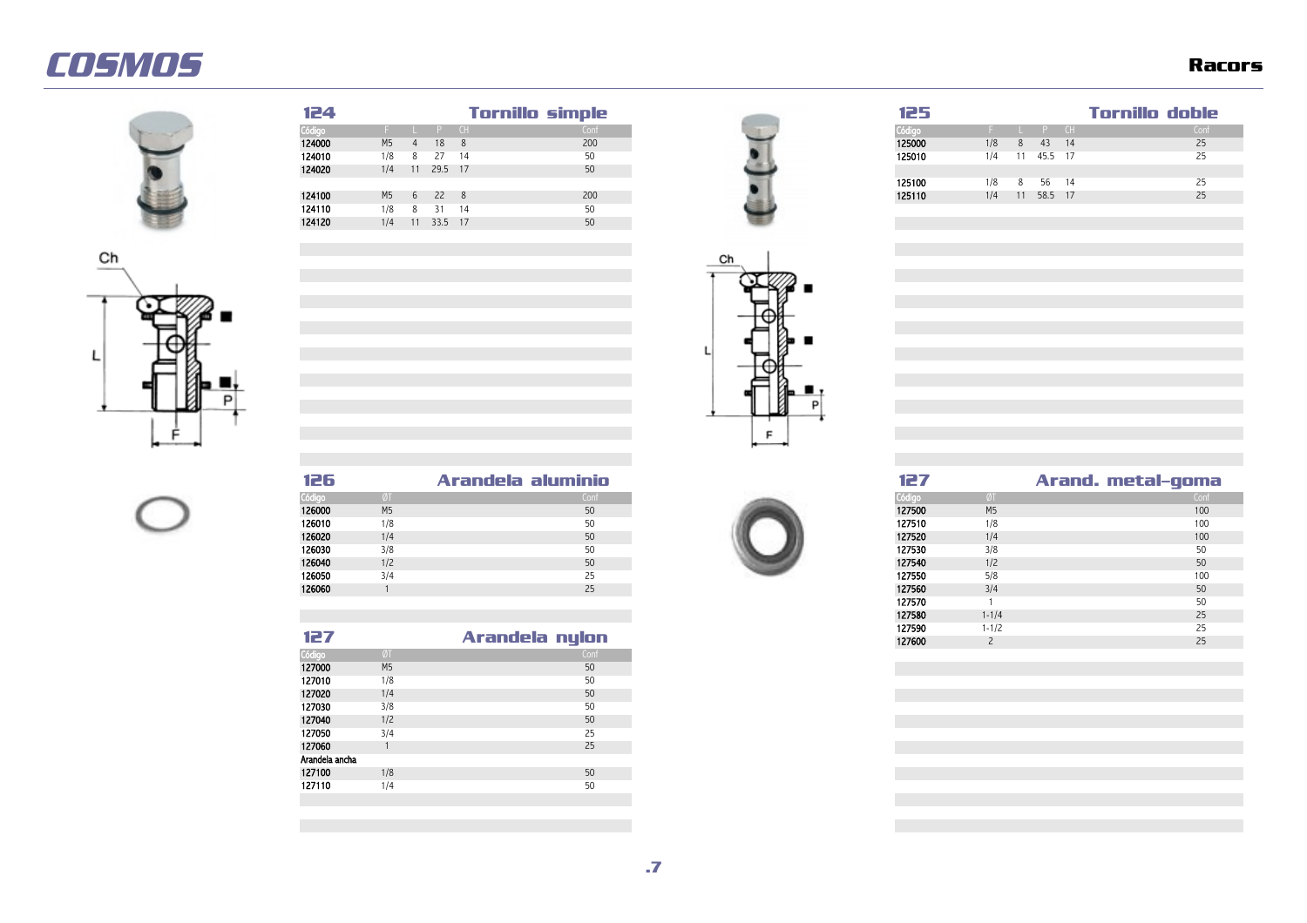









| 125    |     |    |         |    | Tornillo doble |
|--------|-----|----|---------|----|----------------|
| Código |     |    | Đ       | CH | Conf           |
| 125000 | 1/8 | 8  | 43      | 14 | 25             |
| 125010 | 1/4 | 11 | 45.5 17 |    | 25             |
|        |     |    |         |    |                |
| 125100 | 1/8 | 8  | 56      | 14 | 25             |
| 125110 | 1/4 | 11 | 58.5 17 |    | 25             |



| 126    |                | Arandela aluminio |
|--------|----------------|-------------------|
| Código |                | Conf              |
| 126000 | M <sub>5</sub> | 50                |
| 126010 | 1/8            | 50                |
| 126020 | 1/4            | 50                |
| 126030 | 3/8            | 50                |
| 126040 | 1/2            | 50                |
| 126050 | 3/4            | 25                |
| 126060 |                | 25                |
|        |                |                   |
|        |                |                   |
|        |                |                   |
| 127    |                | Arandela nylon    |



| 126    |                | Arandela aluminio |  |
|--------|----------------|-------------------|--|
| Código | ØT             | Conf              |  |
| 126000 | M <sub>5</sub> | 50                |  |
| 126010 | 1/8            | 50                |  |
| 126020 | 1/4            | 50                |  |
| 126030 | 3/8            | 50                |  |
| 126040 | 1/2            | 50                |  |
| 126050 | 3/4            | 25                |  |
| 126060 |                | 25                |  |

| 127            |                | Arandela nylon |
|----------------|----------------|----------------|
| Código         | ØT             | Conf           |
| 127000         | M <sub>5</sub> | 50             |
| 127010         | 1/8            | 50             |
| 127020         | 1/4            | 50             |
| 127030         | 3/8            | 50             |
| 127040         | 1/2            | 50             |
| 127050         | 3/4            | 25             |
| 127060         |                | 25             |
| Arandela ancha |                |                |
| 127100         | 1/8            | 50             |
| 127110         | 1/4            | 50             |
|                |                |                |

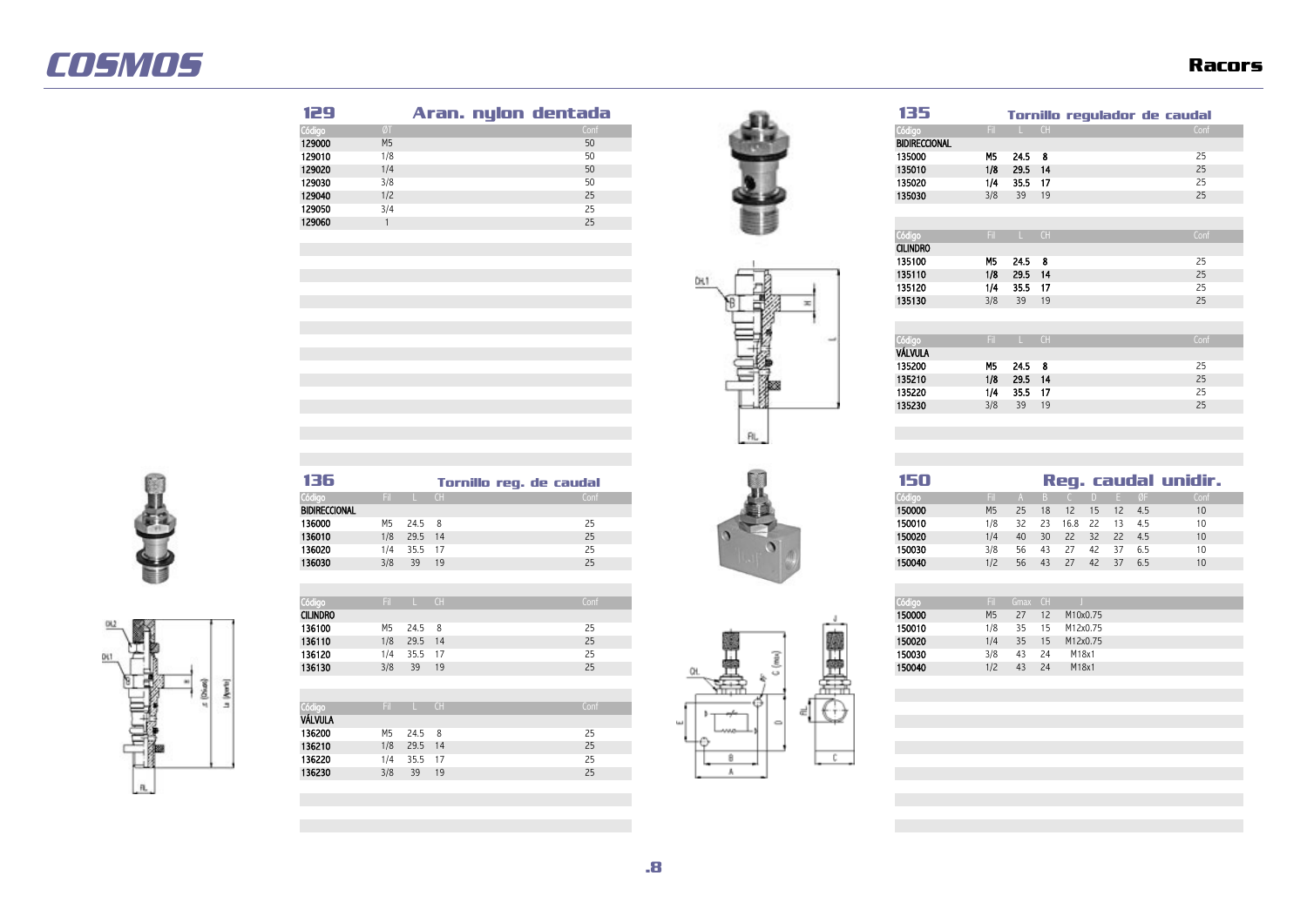| 129    |                | Aran. nylon dentada | 135                  |     |          |     | Tornillo regulador de caudal |
|--------|----------------|---------------------|----------------------|-----|----------|-----|------------------------------|
| Código |                | Conf                | Códiac               |     | Fil L CH |     | Conf                         |
| 129000 | M <sub>5</sub> | 50                  | <b>BIDIRECCIONAL</b> |     |          |     |                              |
| 129010 | 1/8            | 50                  | 135000               | M5  | 24.5 8   |     |                              |
| 129020 | 1/4            | 50                  | 135010               | 1/8 | 29.5 14  |     | 25                           |
| 129030 | 3/8            | 50                  | 135020               | 1/4 | 35.5 17  |     |                              |
| 129040 | 1/2            | 25                  | 135030               | 3/8 | 39       | -19 | 25                           |
| 129050 | 3/4            | 25                  |                      |     |          |     |                              |
| 129060 |                | 25                  |                      |     |          |     |                              |
|        |                |                     | _____                |     |          |     |                              |





| ככו                  |     |      | ornillo   | requiador de caudal |
|----------------------|-----|------|-----------|---------------------|
| Código               | Fil | ш    | CH        | Conf                |
| <b>BIDIRECCIONAL</b> |     |      |           |                     |
| 135000               | M5  | 24.5 | 8         | 25                  |
| 135010               | 1/8 | 29.5 | 14        | 25                  |
| 135020               | 1/4 | 35.5 | 17        | 25                  |
| 135030               | 3/8 | 39   | 19        | 25                  |
|                      |     |      |           |                     |
|                      |     |      |           |                     |
| Código               | Fil | ш    | <b>CH</b> | Conf                |
| <b>CILINDRO</b>      |     |      |           |                     |
| 135100               | M5  | 24.5 | 8         | 25                  |
| 135110               | 1/8 | 29.5 | 14        | 25                  |
| 135120               | 1/4 | 35.5 | 17        | 25                  |
| 135130               | 3/8 | 39   | 19        | 25                  |
|                      |     |      |           |                     |
|                      |     |      |           |                     |
| Código               | Fil | ш    | <b>CH</b> | Conf                |
| VÁLVULA              |     |      |           |                     |
| 135200               | M5  | 24.5 | 8         | 25                  |
| 135210               | 1/8 | 29.5 | 14        | 25                  |
| 135220               | 1/4 | 35.5 | 17        | 25                  |
| 135230               | 3/8 | 39   | 19        | 25                  |







| Códia           | en. |      | CH | Conf |    |        | Fil.           |    | Gmax CH |          |
|-----------------|-----|------|----|------|----|--------|----------------|----|---------|----------|
| <b>CILINDRO</b> |     |      |    |      |    | 150000 | M <sub>5</sub> | 27 | 12      | M10x0.75 |
| 136100          | M5  | 24.5 | 8  | 25   |    | 150010 | 1/8            | 35 | 15      | M12x0.75 |
| 136110          | 1/8 | 29.5 | 14 | 25   |    | 150020 | 1/4            | 35 | 15      | M12x0.75 |
| 136120          | 1/4 | 35.5 | 17 | 25   | s  | 150030 | 3/8            | 43 | 24      | M18x1    |
| 136130          | 3/8 | 39   | 19 | 25   | د، | 150040 | 1/2            | 43 | 24      | M18x1    |
|                 |     |      |    |      |    |        |                |    |         |          |
|                 |     |      |    |      |    |        |                |    |         |          |

| Código         | Fil | L.            | CH | Conf |
|----------------|-----|---------------|----|------|
| <b>VÁLVULA</b> |     |               |    |      |
| 136200         | M5  | $24.5\quad 8$ |    | 25   |
| 136210         | 1/8 | 29.5 14       |    | 25   |
| 136220         | 1/4 | 35.5 17       |    | 25   |
| 136230         | 3/8 | 39            | 19 | 25   |

![](_page_7_Picture_11.jpeg)

![](_page_7_Picture_12.jpeg)

| 50    |                |    |    |                      |        |       |     | Reg. caudal unidir. |
|-------|----------------|----|----|----------------------|--------|-------|-----|---------------------|
| digo  | Fil.           | A  |    | $B \quad C$          | $\Box$ | E ØF  |     | Conf                |
| 6000  | M <sub>5</sub> | 25 |    | 18  12  15  12  4.5  |        |       |     | 10                  |
| 60010 | 1/8            |    |    | 32  23  16.8  22  13 |        |       | 4.5 | 10                  |
| 60020 | 1/4            | 40 |    | 30  22  32  22  4.5  |        |       |     | 10                  |
| 60030 | 3/8            | 56 | 43 | 27                   | 42 37  |       | 6.5 | 10                  |
| 0040  | 1/2            | 56 |    | 43 27                | 42     | $-37$ | 6.5 | 10                  |
|       |                |    |    |                      |        |       |     |                     |

| Código | Fil            | Gmax | CH |          |  |
|--------|----------------|------|----|----------|--|
| 150000 | M <sub>5</sub> | 27   | 12 | M10x0.75 |  |
| 150010 | 1/8            | 35   | 15 | M12x0.75 |  |
| 150020 | 1/4            | 35   | 15 | M12x0.75 |  |
| 150030 | 3/8            | 43   | 24 | M18x1    |  |
| 150040 | 1/2            | 43   | 24 | M18x1    |  |
|        |                |      |    |          |  |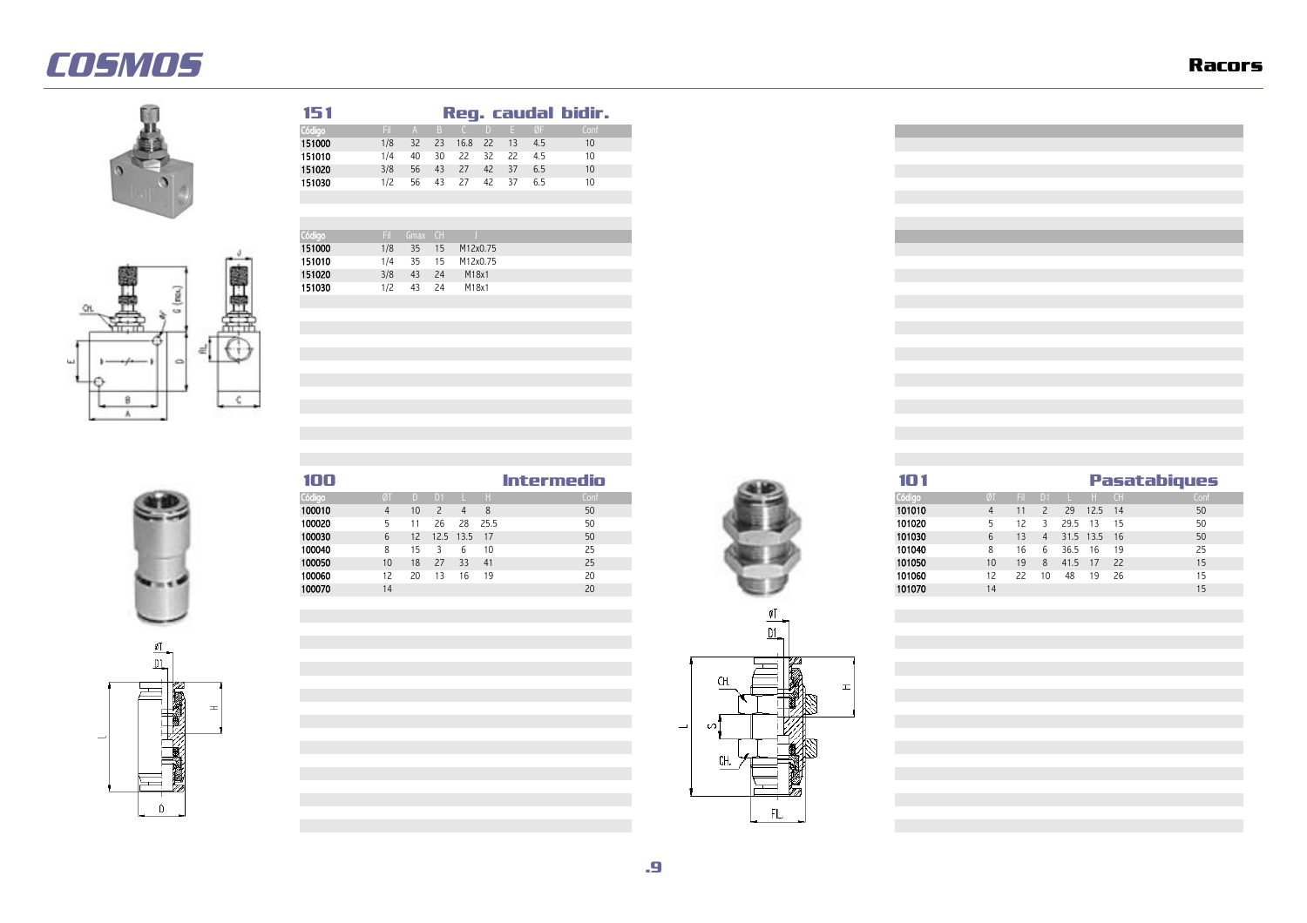![](_page_8_Picture_2.jpeg)

![](_page_8_Figure_3.jpeg)

![](_page_8_Picture_4.jpeg)

![](_page_8_Picture_5.jpeg)

 **Reg. caudal bidir.** Código Fil A B C D E ØF Conf **51000** 1/8 32 23 16.8 22 13 4.5 10<br>1**51010** 1/4 40 30 22 32 22 4.5 10 **51010** 1/4 40 30 22 32 22 4.5<br>1**51020** 3/8 56 43 27 42 37 6.5

![](_page_8_Picture_6.jpeg)

FIL.

![](_page_8_Picture_7.jpeg)

| 100    |                 |                 |    |              |      | Intermedio |
|--------|-----------------|-----------------|----|--------------|------|------------|
| Código |                 |                 | D1 |              |      | Conf       |
| 100010 |                 | 10.             |    |              |      | 50         |
| 100020 |                 |                 | 26 | 28           | 25.5 |            |
| 100030 | b.              | 12 <sup>2</sup> |    | 12.5 13.5 17 |      | 50         |
| 100040 | 8               |                 |    | h            | 10   | 25         |
| 100050 | 10 <sup>°</sup> | 18              | 27 | 33 41        |      | 25         |
| 100060 | 12.             | 20              |    |              | 19   | 20         |
| 100070 | 14              |                 |    |              |      |            |

![](_page_8_Picture_9.jpeg)

![](_page_8_Figure_10.jpeg)

![](_page_8_Picture_11.jpeg)

![](_page_8_Picture_12.jpeg)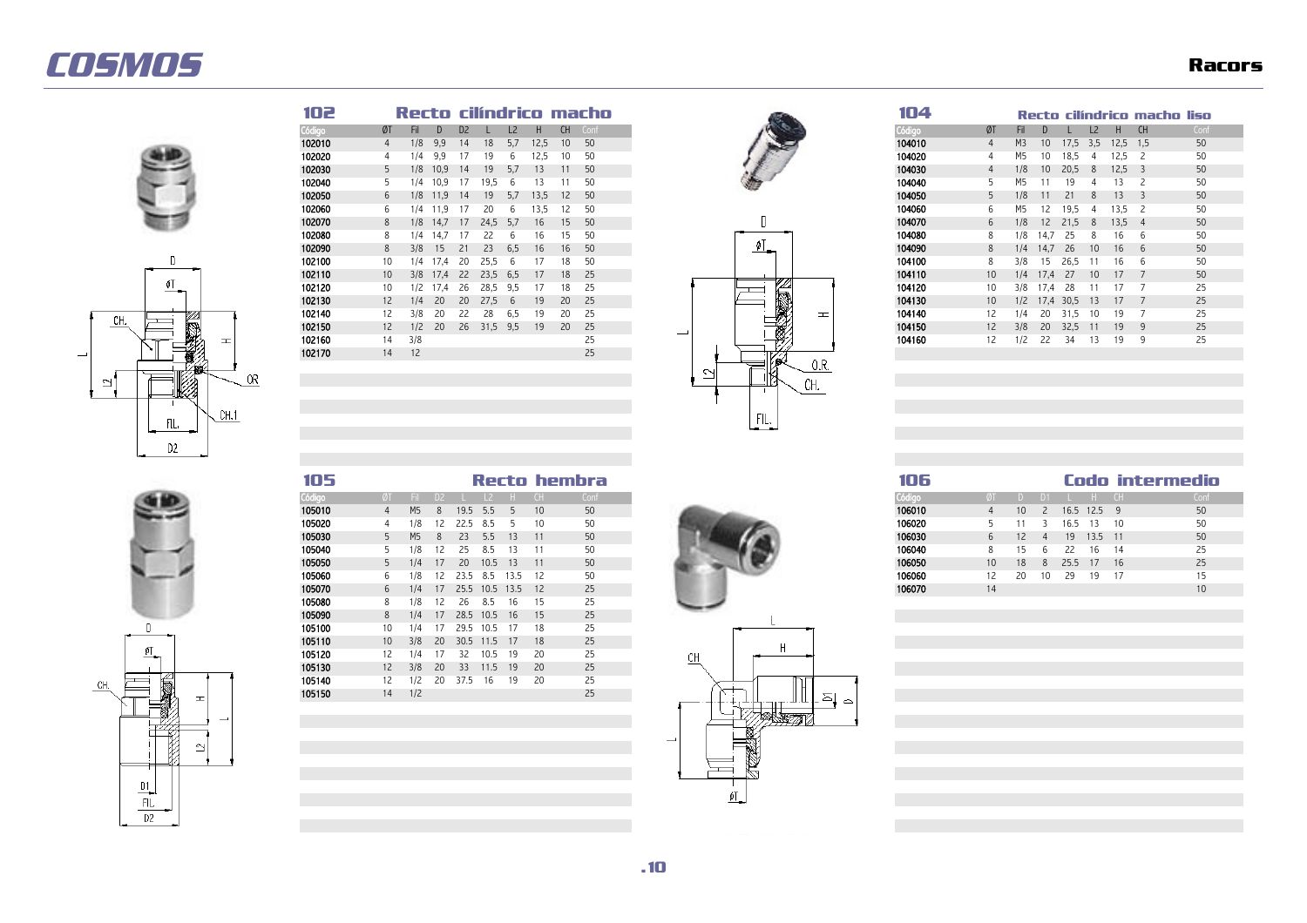![](_page_9_Picture_2.jpeg)

![](_page_9_Figure_3.jpeg)

| 102    |                |      |       |                |      |     |      |           | Recto cilíndrico macho |
|--------|----------------|------|-------|----------------|------|-----|------|-----------|------------------------|
|        | ØT             | Fil. |       | D <sub>2</sub> |      | L2  | н    | <b>CH</b> | Coni                   |
|        | $\overline{4}$ | 1/8  | 9,9   | 14             | 18   | 5.7 | 12,5 | 10        | 50                     |
| 102020 | 4              | 1/4  | 9.9   |                | 19   |     | 2,5  |           | 50                     |
| 102030 | 5              | 1/8  | 10.9  | 14             | 19   | 5.1 | 13   |           | 50                     |
| 102040 |                | 1/4  | 10.9  |                | 19.5 |     | 13   |           | 50                     |
| 102050 | 6              | 1/8  | 11.9  | 14             | 19   | 5.7 | 13.5 | 12        | 50                     |
| 102060 | 6              | 1/4  | 11.9  |                | 20   |     | 13.5 |           | 50                     |
| 102070 | 8              | 1/8  | 14.7  |                | 24.5 | 5.1 | 16   | 15        | 50                     |
| 102080 | 8              | 1/4  | 14.   |                |      |     |      |           | 50                     |
| 102090 | 8              | 3/8  | 15    |                | 23   | 6.5 | 16   | 16        | 50                     |
| 102100 | 10             | 1/4  | 1/0.4 | 20             | 25.5 |     |      |           | 50                     |
| 102110 | 10             | 3/8  | 17.4  | 22             | 23.5 | 6.5 | 17   | 18        | 25                     |
| 102120 | 10             | 1/2  | 1/0.4 | 26             | 28.5 | 9.5 |      |           | 25                     |
| 102130 | 12             | 1/4  | 20    | 20             | 27.5 |     | 19   | 20        | 25                     |
| 102140 | 12             | 3/8  | 20    |                | 28   | 6.5 | 19   | 20        | 25                     |
| 102150 | 12             | 1/2  | 20    | 26             | 31,5 | 9,5 | 19   | 20        | 25                     |
| 102160 | 14             | 3/8  |       |                |      |     |      |           | 25                     |
| 102170 | 14             | 12   |       |                |      |     |      |           | 25                     |

![](_page_9_Picture_5.jpeg)

![](_page_9_Picture_6.jpeg)

| 04    |    |                |      |      |                |      | Recto cilíndrico macho liso |      |
|-------|----|----------------|------|------|----------------|------|-----------------------------|------|
|       |    |                |      |      |                |      |                             |      |
| idigo | ØT | Fil            | D    | L    | L <sub>2</sub> | H    | <b>CH</b>                   | Conf |
| 14010 | 4  | M <sub>3</sub> | 10   | 17,5 | 3,5            | 12,5 | 1,5                         | 50   |
| 14020 | 4  | M5             | 10   | 18,5 | 4              | 12,5 | 2                           | 50   |
| 14030 | 4  | 1/8            | 10   | 20,5 | 8              | 12,5 | 3                           | 50   |
| 4040  | 5  | M5             | 11   | 19   | 4              | 13   | 2                           | 50   |
| 14050 | 5  | 1/8            | 11   | 21   | 8              | 13   | 3                           | 50   |
| 14060 | 6  | M5             | 12   | 19,5 | 4              | 13,5 | 2                           | 50   |
| 14070 | 6  | 1/8            | 12   | 21,5 | 8              | 13,5 | $\overline{4}$              | 50   |
| 14080 | 8  | 1/8            | 14,7 | 25   | 8              | 16   | 6                           | 50   |
| 14090 | 8  | 1/4            | 14,7 | 26   | 10             | 16   | 6                           | 50   |
| 14100 | 8  | 3/8            | 15   | 26,5 | 11             | 16   | 6                           | 50   |
| 14110 | 10 | 1/4            | 17,4 | 27   | 10             | 17   | 7                           | 50   |
| 14120 | 10 | 3/8            | 17,4 | 28   | 11             | 17   | 7                           | 25   |
| 14130 | 10 | 1/2            | 17,4 | 30,5 | 13             | 17   | 7                           | 25   |
| )4140 | 12 | 1/4            | 20   | 31,5 | 10             | 19   | 7                           | 25   |
| 14150 | 12 | 3/8            | 20   | 32,5 | 11             | 19   | 9                           | 25   |
| )4160 | 12 | 1/2            | 22   | 34   | 13             | 19   | 9                           | 25   |

| 105    |    |            |     |                         |       |       | Recto hembra | 106    |    |                 |                |               |            | Codo intermedio |  |
|--------|----|------------|-----|-------------------------|-------|-------|--------------|--------|----|-----------------|----------------|---------------|------------|-----------------|--|
| Código |    | - Fil D2 - |     |                         |       |       | Conf         | Código |    |                 | D1             |               |            |                 |  |
| 105010 |    | M5         | - 8 | 19.5 5.5                |       | 10    | 50           | 106010 |    | 10 <sup>1</sup> |                | 2 16.5 12.5 9 |            |                 |  |
| 105020 |    |            |     | 1/8 12 22.5 8.5         |       | 10    | 50           | 106020 |    |                 |                |               | 16.5 13 10 |                 |  |
| 105030 |    | M5         | - 8 | 23 5.5                  | $-13$ |       | 50           | 106030 |    | 12              | $\overline{a}$ |               | 19 13.5 11 |                 |  |
| 105040 |    |            |     | 5 1/8 12 25 8.5         | 13    |       | 50           | 106040 |    | 15              | h              | 22            | 16 14      |                 |  |
| 105050 |    |            |     | 5 1/4 17 20 10.5 13     |       | $-11$ | 50           | 106050 | 10 | 18              | 8              |               | 25.5 17    | 16              |  |
| 105060 | 6. |            |     | 1/8 12 23.5 8.5 13.5 12 |       |       | 50           | 106060 |    | 20              | 10             | - 29          | 19         |                 |  |
| 105070 |    | 1/4        |     | 17 25.5 10.5 13.5 12    |       |       |              | 106070 |    |                 |                |               |            |                 |  |

![](_page_9_Picture_9.jpeg)

![](_page_9_Picture_10.jpeg)

| 105010 | 4               | M <sub>5</sub> | 8  | 19.5 | 5.5       |                | 10  | 50 | 106010<br>16.5 12.5 9<br>10                              | 50 |
|--------|-----------------|----------------|----|------|-----------|----------------|-----|----|----------------------------------------------------------|----|
| 105020 |                 | 1/8            | 12 | 22.5 | -8.5      |                | 10  | 50 | 106020<br>16.5<br>10<br>13                               | 50 |
| 105030 | 5.              | M <sub>5</sub> | 8  | 23   | 5.5       | 13             | 11  | 50 | 106030<br>12<br>13.5<br>19<br>$-11$<br>6                 | 50 |
| 105040 |                 | 1/8            | 12 | 25   | 8.5       | 13             | 11  | 50 | 106040<br>15<br>22<br>14<br>8<br>h                       | 25 |
| 105050 | $5 -$           | 1/4            | 17 | 20   | 10.5      | 13             | 11  | 50 | 106050<br>25.5<br>18<br>10 <sup>°</sup><br>17<br>16<br>8 | 25 |
| 105060 | 6.              | 1/8            | 12 | 23.5 | 8.5       | 13.5           | -12 | 50 | 106060<br>29<br>20<br>19<br>12<br>10<br>-17              | 15 |
| 105070 | 6               | 1/4            | 17 |      |           | 25.5 10.5 13.5 | 12  | 25 | 106070<br>14                                             | 10 |
| 105080 |                 | 1/8            | 12 | 26   | 8.5       | 16             | 15  | 25 |                                                          |    |
| 105090 | 8               | 1/4            | 17 | 28.5 | 10.5      | 16             | 15  | 25 |                                                          |    |
| 105100 | 10              | 1/4            | 17 |      | 29.5 10.5 | -17            | 18  | 25 |                                                          |    |
| 105110 | 10 <sup>°</sup> | 3/8            | 20 |      | 30.5 11.5 | 17             | 18  | 25 |                                                          |    |
| 105120 | 12              | 1/4            | 17 | 32   | 10.5      | 19             | 20  | 25 | CН                                                       |    |
| 105130 | 12              | 3/8            | 20 | 33   | 11.5      | 19             | 20  | 25 |                                                          |    |
| 105140 | 12              | 1/2            | 20 | 37.5 | 16        | 19             | 20  | 25 |                                                          |    |
| 105150 | 14              | 1/2            |    |      |           |                |     | 25 | ≏<br>≏                                                   |    |
|        |                 |                |    |      |           |                |     |    | ナナビナギアコロエ                                                |    |

![](_page_9_Picture_12.jpeg)

 $\mathfrak{g}_{\mathbb{L}}$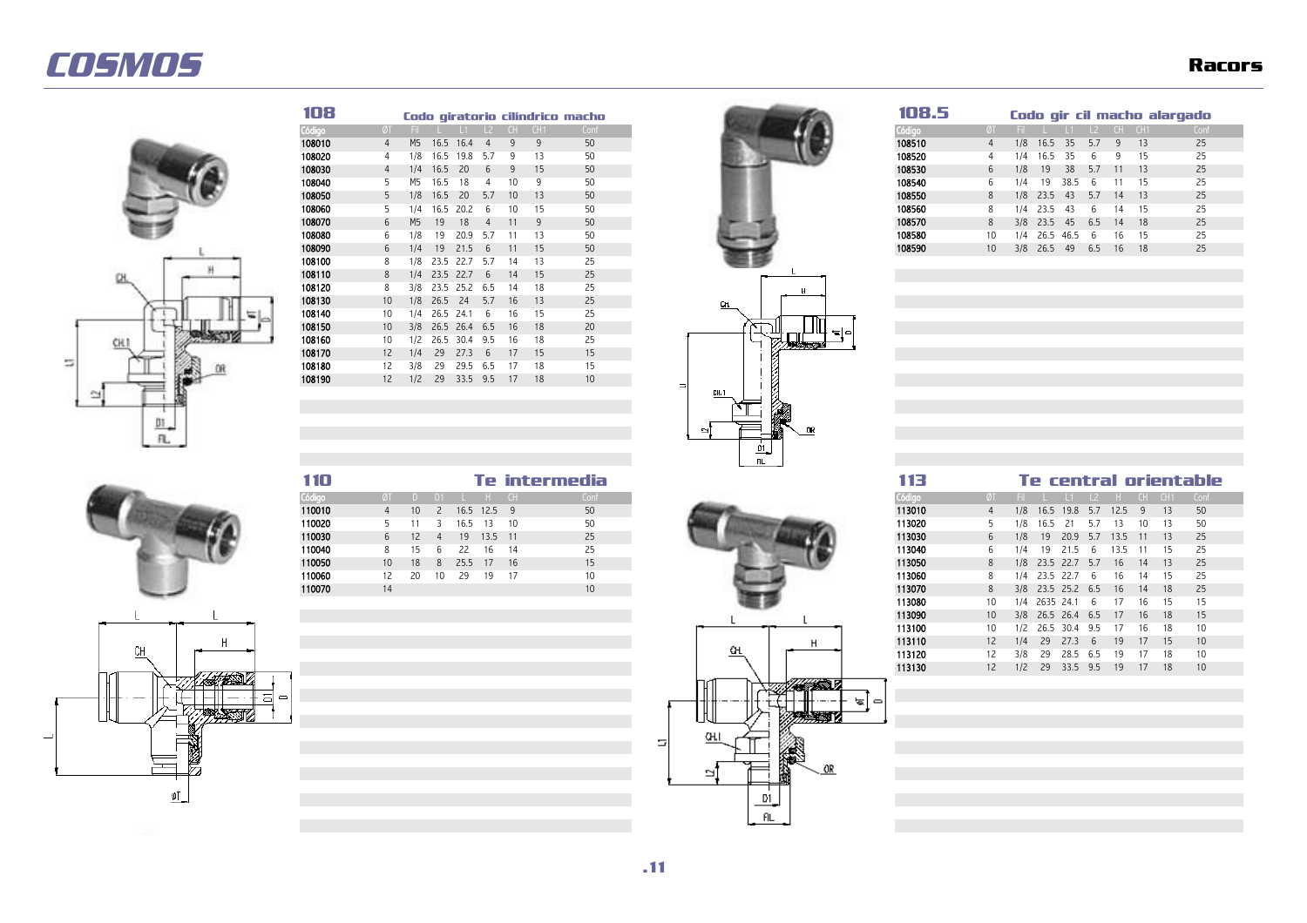![](_page_10_Picture_2.jpeg)

| 108    |                   |                |      |               |           |     |     | Codo giratorio cilíndrico macho |
|--------|-------------------|----------------|------|---------------|-----------|-----|-----|---------------------------------|
| Código | ØT                | Fil -          |      |               | $\vert$ 2 | CH. | CH1 | Conf                            |
|        | $\overline{4}$    | M <sub>5</sub> | 16.5 | 16.4          |           | 9   | 9   | 50                              |
| 108020 |                   | 1/8            | 16.5 | 19.8          | 5.7       | 9   | 13  | 50                              |
| 108030 |                   | 1/4            | 16.5 | 20            | 6         | 9   | 15  | 50                              |
| 108040 |                   | M5             | 16.5 | 18            |           | 10  |     | 50                              |
| 108050 | 5.                | 1/8            | 16.5 | 20            | 5.7       | 10  | 13  | 50                              |
| 108060 |                   | 1/4            | 16.5 | 20.2          | 6         | 10  | 15  | 50                              |
| 108070 | 6                 | M <sub>5</sub> | 19   | 18            |           | 11  | 9   | 50                              |
| 108080 | 6.                | 1/8            | 19   | 20.9          | 5.7       |     | 13  | 50                              |
| 108090 | 6                 | 1/4            | 19   | 21.5          | 6         |     | 15  | 50                              |
| 108100 |                   | 1/8            | 23.5 | 22.7          | 5.7       | 14  | 13  | 25                              |
| 108110 | 8                 | 1/4            |      | 23.5 22.7     | - 6       | 14  | 15  | 25                              |
| 108120 | 8                 | 3/8            |      | 23.5 25.2 6.5 |           | 14  | 18  | 25                              |
| 108130 | 10 <sup>°</sup>   | 1/8            | 26.5 | 24            | 5.7       | 16  | 13  | 25                              |
| 108140 | 10                | 1/4            | 26.5 | 24.1          | -6        | 16  | 15  | 25                              |
| 108150 | 10 <sup>°</sup>   | 3/8            |      | 26.5 26.4     | 6.5       | 16  | 18  | 20                              |
| 108160 | 10                | 1/2            |      | 26.5 30.4     | 9.5       | 16  | 18  | 25                              |
| 108170 | $12 \overline{ }$ | 1/4            | 29   | 27.3          | 6         | 17  | 15  | 15                              |
| 108180 |                   | 3/8            | 29   | 29.5          | 6.5       |     | 18  | 15                              |
| 108190 | 12                | 1/2            | 29   | 33.5 9.5      |           | 17  | 18  | 10 <sup>°</sup>                 |
|        |                   |                |      |               |           |     |     |                                 |

![](_page_10_Picture_4.jpeg)

רות ze s

e in 1919.<br>Ngjarje

<u>ni</u>  $\overline{f}$ 

 $\Omega$ 

'হ[⇔

| 108    |   |                |             |               |              |         |                 | Codo giratorio cilíndrico macho |
|--------|---|----------------|-------------|---------------|--------------|---------|-----------------|---------------------------------|
| Código |   |                |             |               |              |         | 'L2 CH CH1.     | Conf                            |
| 108010 |   | M5             | 16.5        | 16.4          |              |         |                 | 50                              |
| 108020 |   | 1/8            |             | 16.5 19.8 5.7 |              |         |                 | 50                              |
| 108030 |   |                | 1/4 16.5 20 |               | $\mathsf{h}$ |         | 15              | 50                              |
| 108040 |   | M5.            | 16.5        | - 18          |              |         |                 | 50                              |
| 108050 |   |                | 1/8 16.5 20 |               | 5.7          | $10-10$ | 13              | 50                              |
| 108060 |   | 1/4            | 16.5        | 20.2          | h            |         | -15             | 50                              |
| 108070 | 6 | M <sub>5</sub> | 19          | 18            |              |         |                 | 50                              |
| 108080 | h | 78             | 19          | 20.9          | -5.7         |         | 13              | 50                              |
| 108090 |   | /4             | 19          | 21.5          |              |         | 15 <sup>1</sup> | 50                              |

|    |                 |     |      |          |       |                  | HL. |        |    |     |           |                   |          |                          |     |     |
|----|-----------------|-----|------|----------|-------|------------------|-----|--------|----|-----|-----------|-------------------|----------|--------------------------|-----|-----|
|    |                 |     |      |          |       | Te intermedia    |     | 113    |    |     |           |                   |          | Te central orientable    |     |     |
|    |                 |     |      |          | - CH  | Conf             |     | Código |    |     |           |                   |          |                          | Œ   | CHT |
|    | 10 <sup>1</sup> |     | 16.5 | $12.5$ 9 |       | 50               |     | 113010 |    | 1/8 | 16.5      | 19.8              | -5.7     | 12.5                     | -9  |     |
|    |                 |     | 16.5 | 13       | 10    | 50               |     | 113020 |    | 78  | 16.5      | -21               | 5.7      | $\overline{\phantom{a}}$ | 10. |     |
| 6  | 12              |     | 19   | 13.5     | $-11$ | 25               |     | 113030 | 6  | 1/8 | 19        | 20.9              | 5.7      | 13.5                     | 11  |     |
| 8  | ל ו             |     | 22   | 16.      | 14    | 25               |     | 113040 | b  | 74  | 19        | 21.5              | 'n       | 13.5                     |     |     |
| 10 | 18              | 8   | 25.5 | 17       | 16    | 15               |     | 113050 | 8  | 1/8 | 23.5 22.7 |                   | -5.7     | 16                       | 14  |     |
| 12 | 20              | 10. | 29   | 19       | -17   | 10               |     | 113060 | 8  | 14  | 23.5 22.7 |                   | h        | 16                       | 14  |     |
| 14 |                 |     |      |          |       | 10 <sup>10</sup> |     | 113070 | 8  |     |           | 3/8 23.5 25.2 6.5 |          | 16                       | 14  |     |
|    |                 |     |      |          |       |                  |     | 113080 | 10 | 1/4 | 2635 24.1 |                   | h        |                          | 16  |     |
|    |                 |     |      |          |       |                  |     | 113090 | 10 |     |           | 3/8 26.5 26.4 6.5 |          | 17                       | 16  |     |
|    |                 |     |      |          |       |                  |     | 113100 | 10 | 1/2 |           | 26.5 30.4 9.5     |          | -17                      | 16  |     |
|    |                 |     |      |          |       |                  | н   | 113110 | 12 | 1/4 | 29        | 27.3              | $\kappa$ | 19                       | 17  |     |
|    |                 |     |      |          |       |                  | ĉн  | 113120 | 12 | 3/8 | 29        | 28.5              | -6.5     | 19                       |     |     |
|    |                 |     |      |          |       |                  |     | 113130 | 12 | 1/2 | 29        | 33.5              | 9.5      | 19                       | 17  |     |
|    |                 |     |      |          |       |                  |     |        |    |     |           |                   |          |                          |     |     |

![](_page_10_Picture_7.jpeg)

![](_page_10_Picture_8.jpeg)

![](_page_10_Picture_9.jpeg)

| Código<br>ØT Fil L L1 L2 H CH CH1 Cont<br>113010<br>1/8 16.5 19.8 5.7 12.5 9 13 50<br>113020<br>1/8 16.5 21 5.7 13<br>$5 -$<br>113030<br>6 1/8 19 20.9 5.7 13.5 11 13<br>113040<br>1/4 19 21.5 6 13.5 11 15<br>6.<br>113050<br>8 1/8 23.5 22.7 5.7 16 14 13 25<br>113060<br>1/4 23.5 22.7 6 16 14<br>8<br>113070<br>3/8 23.5 25.2 6.5 16 14<br>8 |
|--------------------------------------------------------------------------------------------------------------------------------------------------------------------------------------------------------------------------------------------------------------------------------------------------------------------------------------------------|
|                                                                                                                                                                                                                                                                                                                                                  |
|                                                                                                                                                                                                                                                                                                                                                  |
|                                                                                                                                                                                                                                                                                                                                                  |
|                                                                                                                                                                                                                                                                                                                                                  |
|                                                                                                                                                                                                                                                                                                                                                  |
|                                                                                                                                                                                                                                                                                                                                                  |
|                                                                                                                                                                                                                                                                                                                                                  |
|                                                                                                                                                                                                                                                                                                                                                  |

![](_page_10_Picture_11.jpeg)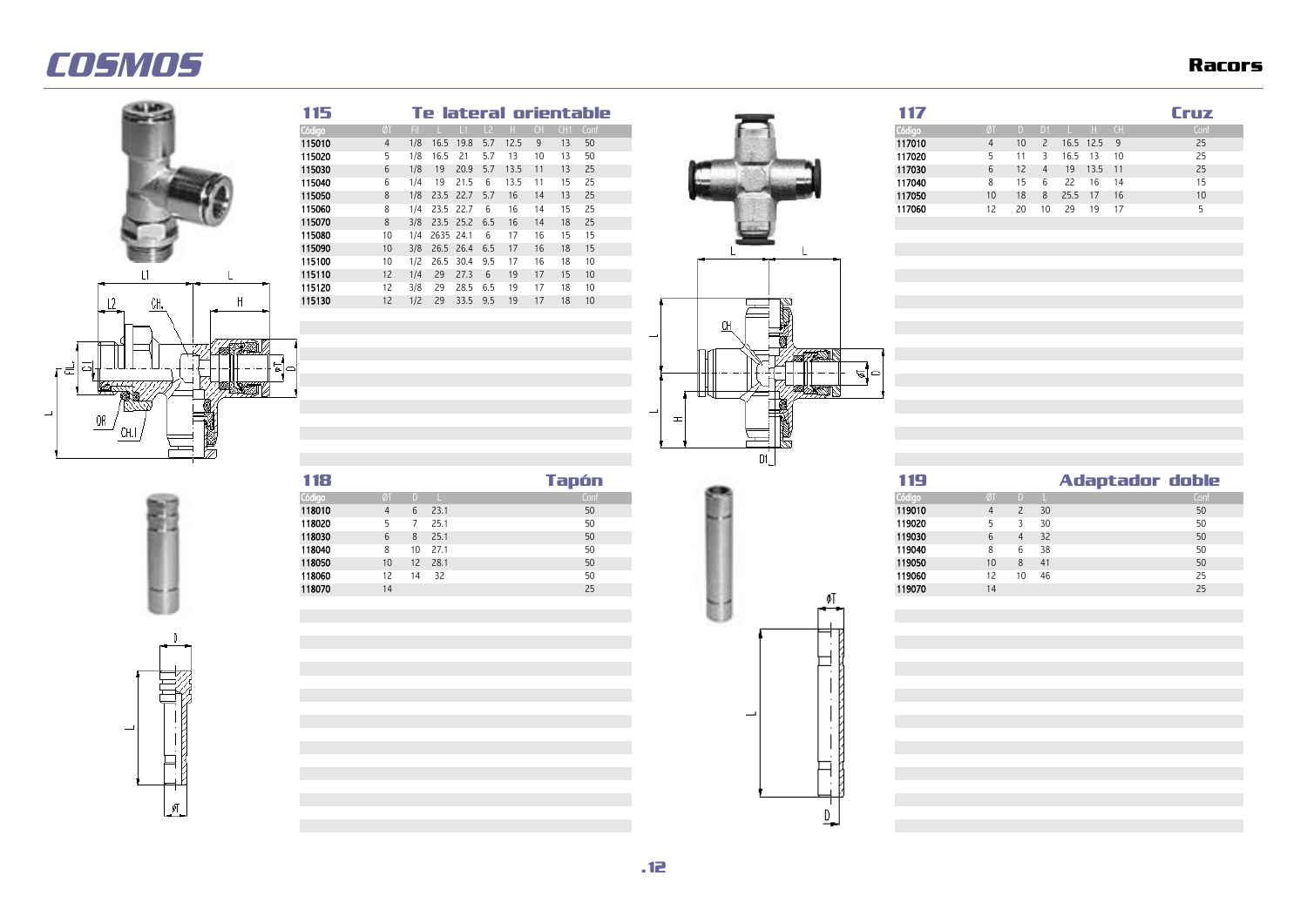![](_page_11_Picture_2.jpeg)

é

| 115    |                   |     |    |                   |     |      |    |    | Te lateral orientable     |
|--------|-------------------|-----|----|-------------------|-----|------|----|----|---------------------------|
| Código | ØT                |     |    |                   |     |      |    |    | Fil L L1 L2 H CH CH1 Conf |
| 115010 | 4                 | 1/8 |    | 16.5 19.8 5.7     |     | 12.5 | -9 | 13 | 50                        |
| 115020 |                   | 1/8 |    | 16.5 21           | 5.7 | -13  | 10 | 13 | -50                       |
| 115030 | 6                 | 1/8 | 19 | 20.9 5.7          |     | 13.5 | 11 | 13 | - 25                      |
| 115040 | 6                 | 1/4 | 19 | 21.5              | -6  | 13.5 | 11 | 15 | 25                        |
| 115050 | 8                 |     |    | 1/8 23.5 22.7 5.7 |     | 16   | 14 | 13 | - 25                      |
| 115060 | 8                 | 1/4 |    | 23.5 22.7         | - 6 | 16   | 14 | 15 | 25                        |
| 115070 | 8                 |     |    | 3/8 23.5 25.2 6.5 |     | 16   | 14 | 18 | - 25                      |
| 115080 | 10                |     |    | 1/4 2635 24.1     | 6   | 17   | 16 | 15 | 15                        |
| 115090 | 10 <sup>°</sup>   |     |    | 3/8 26.5 26.4 6.5 |     | 17   | 16 | 18 | -15                       |
| 115100 | 10                | 1/2 |    | 26.5 30.4 9.5     |     | -17  | 16 | 18 | 10                        |
| 115110 | $12 \overline{ }$ | 1/4 | 29 | 27.3              | - 6 | 19   | 17 | 15 | 10                        |
| 115120 | 12.               | 3/8 | 29 | 28.5 6.5          |     | 19   | 17 | 18 | 10                        |
| 115130 | 12                | 1/2 | 29 | 33.5 9.5          |     | 19   | 17 | 18 | 10                        |
|        |                   |     |    |                   |     |      |    |    |                           |

![](_page_11_Figure_4.jpeg)

 $\overline{\phantom{a}}$ 

 $\sqrt{2}$ 

| 115     |   |  |  |                                 |  | Te lateral orientable.       | 117    |    |        |    |                  |            | Critz |
|---------|---|--|--|---------------------------------|--|------------------------------|--------|----|--------|----|------------------|------------|-------|
| Código  |   |  |  |                                 |  | ØT Fil L L1 L2 H CH CH1 Conf | Código |    |        |    | $D1$ $H$ $CH$    |            | Conf  |
| 115010  |   |  |  | 1/8 16.5 19.8 5.7 12.5 9 13 50  |  |                              | 117010 |    |        |    | 10 2 16.5 12.5 9 |            | 25    |
| 115020  |   |  |  | 5 1/8 16.5 21 5.7 13 10 13 50   |  |                              | 117020 |    |        |    |                  | 16.5 13 10 | 25    |
| 115030  |   |  |  | 6 1/8 19 20.9 5.7 13.5 11 13 25 |  |                              | 117030 |    | 6 12 4 |    | $19$ 13.5 11     |            | 25    |
| 115040  |   |  |  | 6 1/4 19 21.5 6 13.5 11 15 25   |  |                              | 117040 |    | -15.   | 6  | 22               | 16 14      | 15    |
| 115050  | 8 |  |  | 1/8 23.5 22.7 5.7 16 14 13 25   |  |                              | 117050 | 10 | - 18   | -8 |                  | 25.5 17 16 | 10    |
| 115060  | 8 |  |  | 1/4 23.5 22.7 6 16 14 15 25     |  |                              | 117060 | 12 | 20     | 10 | -29              | 19         |       |
| 1.10000 |   |  |  |                                 |  |                              |        |    |        |    |                  |            |       |

| 118    |         |    |          | Tapón |  | 19     |                 |                 |      | Adaptador doble |      |
|--------|---------|----|----------|-------|--|--------|-----------------|-----------------|------|-----------------|------|
| Código |         |    |          | Con   |  | Códiad |                 |                 |      |                 | Conf |
| 118010 |         |    | $6$ 23.1 | 50    |  | 119010 |                 |                 | 30   |                 | 50   |
| 118020 |         |    | 25.1     | 50    |  | 119020 |                 |                 | 30   |                 | 50   |
| 118030 | 6       | 8. | 25.1     | 50    |  | 119030 |                 |                 | 32   |                 | 50   |
| 118040 |         |    | 10 27.1  | 50    |  | 119040 |                 | h               | 38   |                 | 50   |
| 118050 | $10-10$ |    | 12 28.1  | 50    |  | 119050 | 10 <sup>°</sup> | 8               | - 41 |                 | 50   |
| 118060 |         | 14 | 32       | 50    |  | 119060 |                 | 10 <sup>°</sup> | -46  |                 |      |
| 118070 | 14      |    |          | 25    |  | 119070 |                 |                 |      |                 |      |

![](_page_11_Figure_7.jpeg)

| шь     |         |   |          |       |  | шэ     |         |    | Adaptador doble |      |
|--------|---------|---|----------|-------|--|--------|---------|----|-----------------|------|
| Códig  |         |   |          | Confr |  |        |         |    |                 | Conf |
| 118010 |         | 6 | 23.1     | 50    |  | 119010 |         |    | 30              | 50   |
| 118020 |         |   | 25.1     | 50    |  | 119020 |         |    | -30             | 50   |
| 118030 | 6       |   | $8$ 25.1 | 50    |  | 119030 |         |    | -32             | 50   |
| 118040 | 8       |   | 10 27.1  | 50    |  | 119040 |         |    | - 38            | 50   |
| 118050 | $10-10$ |   | 12 28.1  | 50    |  | 119050 | $10-10$ | 8  | -41             | 50   |
| 118060 |         |   | 14 32    | 50    |  | 119060 | 12      | 10 | - 46            | 25   |
| 118070 | 14      |   |          | 25    |  | 119070 | 14      |    |                 |      |
|        |         |   |          |       |  |        |         |    |                 |      |

![](_page_11_Figure_9.jpeg)

![](_page_11_Figure_10.jpeg)